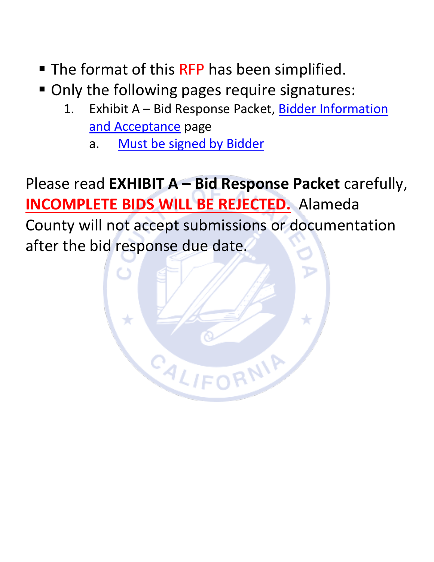- The format of this RFP has been simplified.
- Only the following pages require signatures:
	- 1. Exhibit A Bid Response Packet, Bidder Information [and Acceptance](#page-33-0) page
		- a. [Must be signed by Bidder](#page-33-0)

Please read **EXHIBIT A – Bid Response Packet** carefully, **INCOMPLETE BIDS WILL BE REJECTED.** Alameda County will not accept submissions or documentation after the bid response due date.

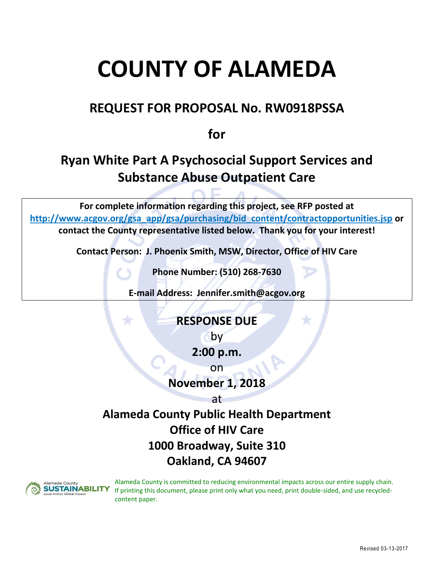# **COUNTY OF ALAMEDA**

# **REQUEST FOR PROPOSAL No. RW0918PSSA**

**for**

# **Ryan White Part A Psychosocial Support Services and Substance Abuse Outpatient Care**

**For complete information regarding this project, see RFP posted at [http://www.acgov.org/gsa\\_app/gsa/purchasing/bid\\_content/contractopportunities.jsp](http://www.acgov.org/gsa_app/gsa/purchasing/bid_content/contractopportunities.jsp) or contact the County representative listed below. Thank you for your interest!**

**Contact Person: J. Phoenix Smith, MSW, Director, Office of HIV Care**

**Phone Number: (510) 268-7630**

**E-mail Address: Jennifer.smith@acgov.org**

# **RESPONSE DUE**

by

**2:00 p.m.**

on

**November 1, 2018**

at

# **Alameda County Public Health Department Office of HIV Care 1000 Broadway, Suite 310 Oakland, CA 94607**



Alameda County is committed to reducing environmental impacts across our entire supply chain. If printing this document, please print only what you need, print double-sided, and use recycledcontent paper.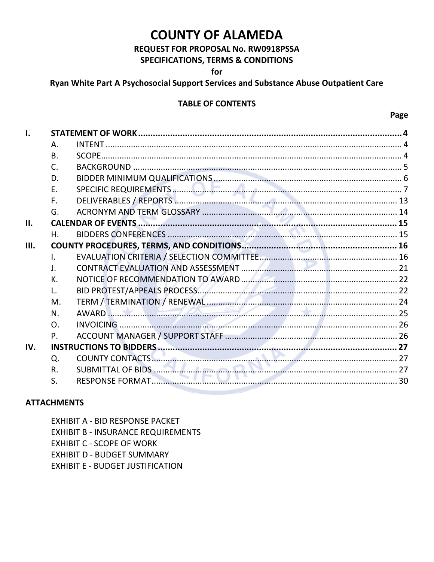# **COUNTY OF ALAMEDA**

#### REQUEST FOR PROPOSAL No. RW0918PSSA **SPECIFICATIONS, TERMS & CONDITIONS**

for

#### Ryan White Part A Psychosocial Support Services and Substance Abuse Outpatient Care

#### **TABLE OF CONTENTS**

Page

| 1.   |              |          |  |
|------|--------------|----------|--|
|      | А.           |          |  |
|      | <b>B.</b>    |          |  |
|      | C.           |          |  |
|      | D.           |          |  |
|      | Ε.           |          |  |
|      | F.           |          |  |
|      | G.           |          |  |
| Н.   |              |          |  |
|      | Η.           |          |  |
| III. |              |          |  |
|      | $\mathbf{L}$ |          |  |
|      | J.           |          |  |
|      | К.           |          |  |
|      |              |          |  |
|      | M.           |          |  |
|      | N.           | AWARD 25 |  |
|      | $\Omega$     |          |  |
|      | P.           |          |  |
| IV.  |              |          |  |
|      | Q.           |          |  |
|      | R.           |          |  |
|      | S.           |          |  |

#### **ATTACHMENTS**

EXHIBIT A - BID RESPONSE PACKET **EXHIBIT B - INSURANCE REQUIREMENTS EXHIBIT C - SCOPE OF WORK EXHIBIT D - BUDGET SUMMARY EXHIBIT E - BUDGET JUSTIFICATION**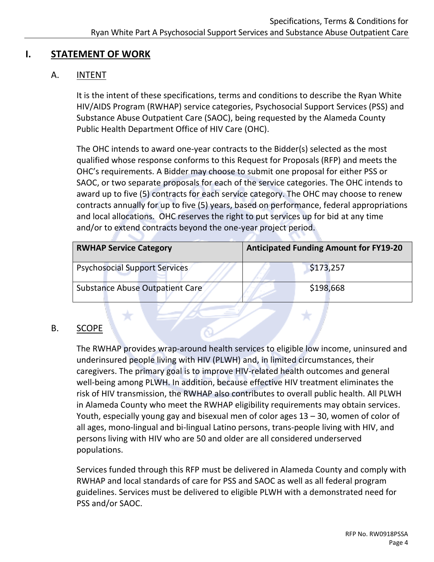# <span id="page-3-1"></span><span id="page-3-0"></span>**I. STATEMENT OF WORK**

# A. INTENT

It is the intent of these specifications, terms and conditions to describe the Ryan White HIV/AIDS Program (RWHAP) service categories, Psychosocial Support Services (PSS) and Substance Abuse Outpatient Care (SAOC), being requested by the Alameda County Public Health Department Office of HIV Care (OHC).

The OHC intends to award one-year contracts to the Bidder(s) selected as the most qualified whose response conforms to this Request for Proposals (RFP) and meets the OHC's requirements. A Bidder may choose to submit one proposal for either PSS or SAOC, or two separate proposals for each of the service categories. The OHC intends to award up to five (5) contracts for each service category. The OHC may choose to renew contracts annually for up to five (5) years, based on performance, federal appropriations and local allocations. OHC reserves the right to put services up for bid at any time and/or to extend contracts beyond the one-year project period.

| <b>RWHAP Service Category</b>        | <b>Anticipated Funding Amount for FY19-20</b> |  |
|--------------------------------------|-----------------------------------------------|--|
| <b>Psychosocial Support Services</b> | \$173,257                                     |  |
| Substance Abuse Outpatient Care      | \$198,668                                     |  |

# <span id="page-3-2"></span>B. SCOPE

The RWHAP provides wrap-around health services to eligible low income, uninsured and underinsured people living with HIV (PLWH) and, in limited circumstances, their caregivers. The primary goal is to improve HIV-related health outcomes and general well-being among PLWH. In addition, because effective HIV treatment eliminates the risk of HIV transmission, the RWHAP also contributes to overall public health. All PLWH in Alameda County who meet the RWHAP eligibility requirements may obtain services. Youth, especially young gay and bisexual men of color ages 13 – 30, women of color of all ages, mono-lingual and bi-lingual Latino persons, trans-people living with HIV, and persons living with HIV who are 50 and older are all considered underserved populations.

Services funded through this RFP must be delivered in Alameda County and comply with RWHAP and local standards of care for PSS and SAOC as well as all federal program guidelines. Services must be delivered to eligible PLWH with a demonstrated need for PSS and/or SAOC.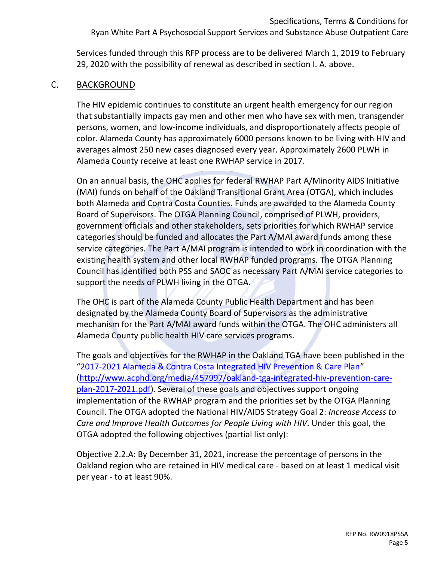Services funded through this RFP process are to be delivered March 1, 2019 to February 29, 2020 with the possibility of renewal as described in section I. A. above.

#### <span id="page-4-0"></span>C. BACKGROUND

The HIV epidemic continues to constitute an urgent health emergency for our region that substantially impacts gay men and other men who have sex with men, transgender persons, women, and low-income individuals, and disproportionately affects people of color. Alameda County has approximately 6000 persons known to be living with HIV and averages almost 250 new cases diagnosed every year. Approximately 2600 PLWH in Alameda County receive at least one RWHAP service in 2017.

On an annual basis, the OHC applies for federal RWHAP Part A/Minority AIDS Initiative (MAI) funds on behalf of the Oakland Transitional Grant Area (OTGA), which includes both Alameda and Contra Costa Counties. Funds are awarded to the Alameda County Board of Supervisors. The OTGA Planning Council, comprised of PLWH, providers, government officials and other stakeholders, sets priorities for which RWHAP service categories should be funded and allocates the Part A/MAI award funds among these service categories. The Part A/MAI program is intended to work in coordination with the existing health system and other local RWHAP funded programs. The OTGA Planning Council has identified both PSS and SAOC as necessary Part A/MAI service categories to support the needs of PLWH living in the OTGA.

The OHC is part of the Alameda County Public Health Department and has been designated by the Alameda County Board of Supervisors as the administrative mechanism for the Part A/MAI award funds within the OTGA. The OHC administers all Alameda County public health HIV care services programs.

The goals and objectives for the RWHAP in the Oakland TGA have been published in the "[2017-2021 Alameda & Contra Costa Integrated HIV Prevention & Care Plan](http://www.acphd.org/media/457997/oakland-tga-integrated-hiv-prevention-care-plan-2017-2021.pdf)" [\(http://www.acphd.org/media/457997/oakland-tga-integrated-hiv-prevention-care](http://www.acphd.org/media/457997/oakland-tga-integrated-hiv-prevention-care-plan-2017-2021.pdf)[plan-2017-2021.pdf\)](http://www.acphd.org/media/457997/oakland-tga-integrated-hiv-prevention-care-plan-2017-2021.pdf). Several of these goals and objectives support ongoing implementation of the RWHAP program and the priorities set by the OTGA Planning Council. The OTGA adopted the National HIV/AIDS Strategy Goal 2: *Increase Access to Care and Improve Health Outcomes for People Living with HIV*. Under this goal, the OTGA adopted the following objectives (partial list only):

Objective 2.2.A: By December 31, 2021, increase the percentage of persons in the Oakland region who are retained in HIV medical care - based on at least 1 medical visit per year - to at least 90%.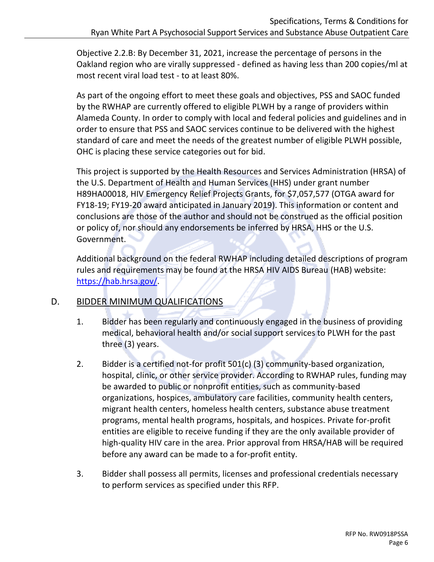Objective 2.2.B: By December 31, 2021, increase the percentage of persons in the Oakland region who are virally suppressed - defined as having less than 200 copies/ml at most recent viral load test - to at least 80%.

As part of the ongoing effort to meet these goals and objectives, PSS and SAOC funded by the RWHAP are currently offered to eligible PLWH by a range of providers within Alameda County. In order to comply with local and federal policies and guidelines and in order to ensure that PSS and SAOC services continue to be delivered with the highest standard of care and meet the needs of the greatest number of eligible PLWH possible, OHC is placing these service categories out for bid.

This project is supported by the Health Resources and Services Administration (HRSA) of the U.S. Department of Health and Human Services (HHS) under grant number H89HA00018, HIV Emergency Relief Projects Grants, for \$7,057,577 (OTGA award for FY18-19; FY19-20 award anticipated in January 2019). This information or content and conclusions are those of the author and should not be construed as the official position or policy of, nor should any endorsements be inferred by HRSA, HHS or the U.S. Government.

Additional background on the federal RWHAP including detailed descriptions of program rules and requirements may be found at the HRSA HIV AIDS Bureau (HAB) website: [https://hab.hrsa.gov/.](https://hab.hrsa.gov/)

# <span id="page-5-0"></span>D. BIDDER MINIMUM QUALIFICATIONS

- 1. Bidder has been regularly and continuously engaged in the business of providing medical, behavioral health and/or social support services to PLWH for the past three (3) years.
- 2. Bidder is a certified not-for profit 501(c) (3) community-based organization, hospital, clinic, or other service provider. According to RWHAP rules, funding may be awarded to public or nonprofit entities, such as community-based organizations, hospices, ambulatory care facilities, community health centers, migrant health centers, homeless health centers, substance abuse treatment programs, mental health programs, hospitals, and hospices. Private for-profit entities are eligible to receive funding if they are the only available provider of high-quality HIV care in the area. Prior approval from HRSA/HAB will be required before any award can be made to a for-profit entity.
- 3. Bidder shall possess all permits, licenses and professional credentials necessary to perform services as specified under this RFP.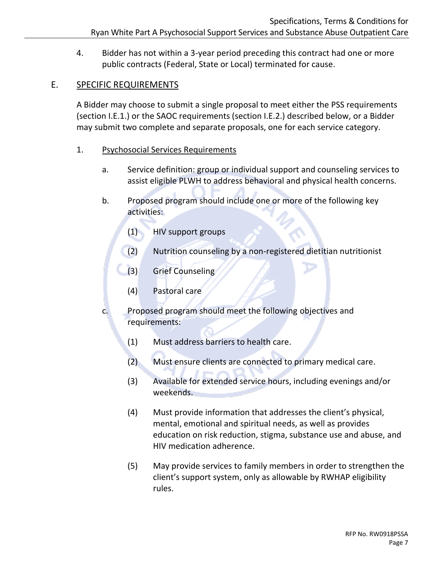4. Bidder has not within a 3-year period preceding this contract had one or more public contracts (Federal, State or Local) terminated for cause.

# <span id="page-6-0"></span>E. SPECIFIC REQUIREMENTS

A Bidder may choose to submit a single proposal to meet either the PSS requirements (section I.E.1.) or the SAOC requirements (section I.E.2.) described below, or a Bidder may submit two complete and separate proposals, one for each service category.

- 1. Psychosocial Services Requirements
	- a. Service definition: group or individual support and counseling services to assist eligible PLWH to address behavioral and physical health concerns.
	- b. Proposed program should include one or more of the following key activities:
		- (1) HIV support groups
		- (2) Nutrition counseling by a non-registered dietitian nutritionist
		- (3) Grief Counseling
		- (4) Pastoral care
	- c. Proposed program should meet the following objectives and requirements:
		- (1) Must address barriers to health care.
		- (2) Must ensure clients are connected to primary medical care.
		- (3) Available for extended service hours, including evenings and/or weekends.
		- (4) Must provide information that addresses the client's physical, mental, emotional and spiritual needs, as well as provides education on risk reduction, stigma, substance use and abuse, and HIV medication adherence.
		- (5) May provide services to family members in order to strengthen the client's support system, only as allowable by RWHAP eligibility rules.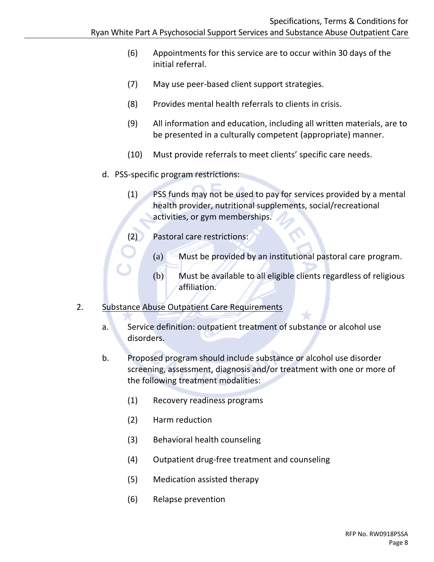- (6) Appointments for this service are to occur within 30 days of the initial referral.
- (7) May use peer-based client support strategies.
- (8) Provides mental health referrals to clients in crisis.
- (9) All information and education, including all written materials, are to be presented in a culturally competent (appropriate) manner.
- (10) Must provide referrals to meet clients' specific care needs.
- d. PSS-specific program restrictions:
	- (1) PSS funds may not be used to pay for services provided by a mental health provider, nutritional supplements, social/recreational activities, or gym memberships.
	- (2) Pastoral care restrictions:
		- (a) Must be provided by an institutional pastoral care program.
		- (b) Must be available to all eligible clients regardless of religious affiliation.

#### 2. Substance Abuse Outpatient Care Requirements

- a. Service definition: outpatient treatment of substance or alcohol use disorders.
- b. Proposed program should include substance or alcohol use disorder screening, assessment, diagnosis and/or treatment with one or more of the following treatment modalities:
	- (1) Recovery readiness programs
	- (2) Harm reduction
	- (3) Behavioral health counseling
	- (4) Outpatient drug-free treatment and counseling
	- (5) Medication assisted therapy
	- (6) Relapse prevention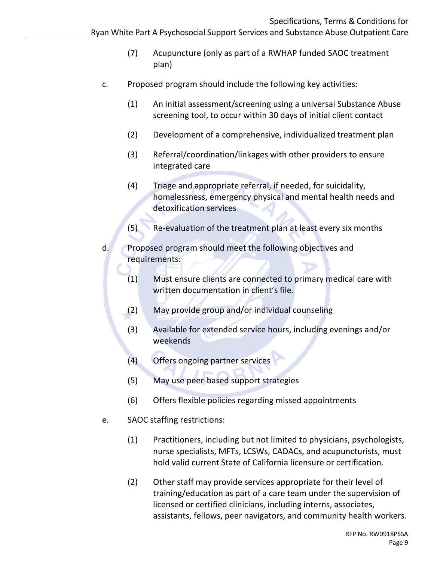- (7) Acupuncture (only as part of a RWHAP funded SAOC treatment plan)
- c. Proposed program should include the following key activities:
	- (1) An initial assessment/screening using a universal Substance Abuse screening tool, to occur within 30 days of initial client contact
	- (2) Development of a comprehensive, individualized treatment plan
	- (3) Referral/coordination/linkages with other providers to ensure integrated care
	- (4) Triage and appropriate referral, if needed, for suicidality, homelessness, emergency physical and mental health needs and detoxification services
	- (5) Re-evaluation of the treatment plan at least every six months
- d. Proposed program should meet the following objectives and requirements:
	- (1) Must ensure clients are connected to primary medical care with written documentation in client's file.
	- (2) May provide group and/or individual counseling
	- (3) Available for extended service hours, including evenings and/or weekends
	- (4) Offers ongoing partner services
	- (5) May use peer-based support strategies
	- (6) Offers flexible policies regarding missed appointments
- e. SAOC staffing restrictions:
	- (1) Practitioners, including but not limited to physicians, psychologists, nurse specialists, MFTs, LCSWs, CADACs, and acupuncturists, must hold valid current State of California licensure or certification.
	- (2) Other staff may provide services appropriate for their level of training/education as part of a care team under the supervision of licensed or certified clinicians, including interns, associates, assistants, fellows, peer navigators, and community health workers.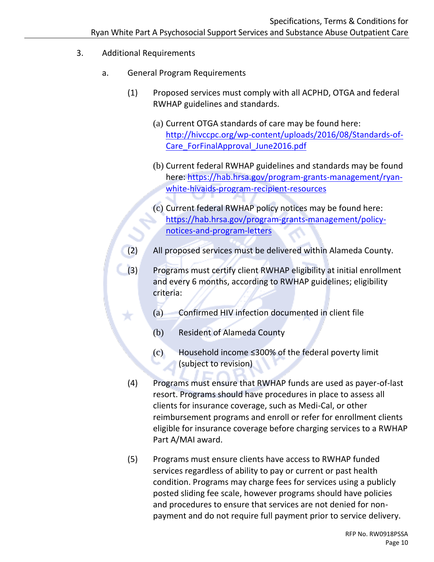3. Additional Requirements

Ÿ.

- a. General Program Requirements
	- (1) Proposed services must comply with all ACPHD, OTGA and federal RWHAP guidelines and standards.
		- (a) Current OTGA standards of care may be found here: [http://hivccpc.org/wp-content/uploads/2016/08/Standards-of-](http://hivccpc.org/wp-content/uploads/2016/08/Standards-of-Care_ForFinalApproval_June2016.pdf)[Care\\_ForFinalApproval\\_June2016.pdf](http://hivccpc.org/wp-content/uploads/2016/08/Standards-of-Care_ForFinalApproval_June2016.pdf)
		- (b) Current federal RWHAP guidelines and standards may be found here: [https://hab.hrsa.gov/program-grants-management/ryan](https://hab.hrsa.gov/program-grants-management/ryan-white-hivaids-program-recipient-resources)[white-hivaids-program-recipient-resources](https://hab.hrsa.gov/program-grants-management/ryan-white-hivaids-program-recipient-resources)
		- (c) Current federal RWHAP policy notices may be found here: [https://hab.hrsa.gov/program-grants-management/policy](https://hab.hrsa.gov/program-grants-management/policy-notices-and-program-letters)[notices-and-program-letters](https://hab.hrsa.gov/program-grants-management/policy-notices-and-program-letters)
	- (2) All proposed services must be delivered within Alameda County.
	- (3) Programs must certify client RWHAP eligibility at initial enrollment and every 6 months, according to RWHAP guidelines; eligibility criteria:
		- (a) Confirmed HIV infection documented in client file
		- (b) Resident of Alameda County
		- (c) Household income ≤300% of the federal poverty limit (subject to revision)
	- (4) Programs must ensure that RWHAP funds are used as payer-of-last resort. Programs should have procedures in place to assess all clients for insurance coverage, such as Medi-Cal, or other reimbursement programs and enroll or refer for enrollment clients eligible for insurance coverage before charging services to a RWHAP Part A/MAI award.
	- (5) Programs must ensure clients have access to RWHAP funded services regardless of ability to pay or current or past health condition. Programs may charge fees for services using a publicly posted sliding fee scale, however programs should have policies and procedures to ensure that services are not denied for nonpayment and do not require full payment prior to service delivery.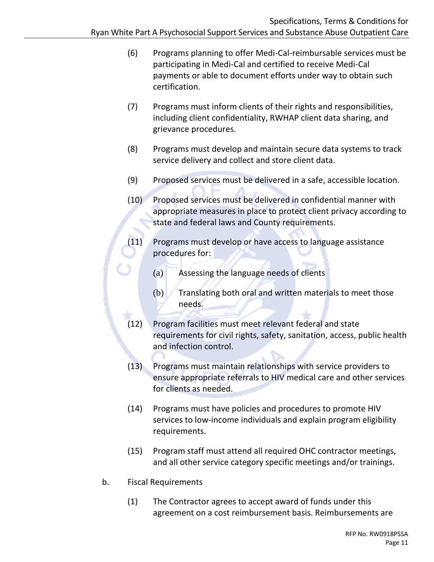- (6) Programs planning to offer Medi-Cal-reimbursable services must be participating in Medi-Cal and certified to receive Medi-Cal payments or able to document efforts under way to obtain such certification.
- (7) Programs must inform clients of their rights and responsibilities, including client confidentiality, RWHAP client data sharing, and grievance procedures.
- (8) Programs must develop and maintain secure data systems to track service delivery and collect and store client data.
- (9) Proposed services must be delivered in a safe, accessible location.
- (10) Proposed services must be delivered in confidential manner with appropriate measures in place to protect client privacy according to state and federal laws and County requirements.
- (11) Programs must develop or have access to language assistance procedures for:
	- (a) Assessing the language needs of clients
	- $(b)$  Translating both oral and written materials to meet those needs.
- (12) Program facilities must meet relevant federal and state requirements for civil rights, safety, sanitation, access, public health and infection control.
- (13) Programs must maintain relationships with service providers to ensure appropriate referrals to HIV medical care and other services for clients as needed.
- (14) Programs must have policies and procedures to promote HIV services to low-income individuals and explain program eligibility requirements.
- (15) Program staff must attend all required OHC contractor meetings, and all other service category specific meetings and/or trainings.
- b. Fiscal Requirements
	- (1) The Contractor agrees to accept award of funds under this agreement on a cost reimbursement basis. Reimbursements are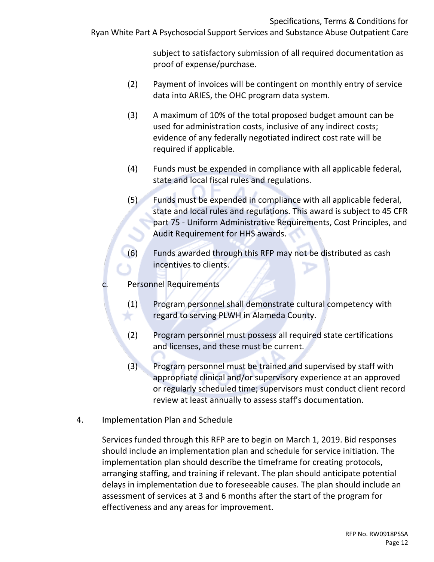subject to satisfactory submission of all required documentation as proof of expense/purchase.

- (2) Payment of invoices will be contingent on monthly entry of service data into ARIES, the OHC program data system.
- (3) A maximum of 10% of the total proposed budget amount can be used for administration costs, inclusive of any indirect costs; evidence of any federally negotiated indirect cost rate will be required if applicable.
- (4) Funds must be expended in compliance with all applicable federal, state and local fiscal rules and regulations.
- (5) Funds must be expended in compliance with all applicable federal, state and local rules and regulations. This award is subject to 45 CFR part 75 - Uniform Administrative Requirements, Cost Principles, and Audit Requirement for HHS awards.
- (6) Funds awarded through this RFP may not be distributed as cash incentives to clients.
- c. Personnel Requirements
	- (1) Program personnel shall demonstrate cultural competency with regard to serving PLWH in Alameda County.
	- (2) Program personnel must possess all required state certifications and licenses, and these must be current.
	- (3) Program personnel must be trained and supervised by staff with appropriate clinical and/or supervisory experience at an approved or regularly scheduled time; supervisors must conduct client record review at least annually to assess staff's documentation.
- 4. Implementation Plan and Schedule

Services funded through this RFP are to begin on March 1, 2019. Bid responses should include an implementation plan and schedule for service initiation. The implementation plan should describe the timeframe for creating protocols, arranging staffing, and training if relevant. The plan should anticipate potential delays in implementation due to foreseeable causes. The plan should include an assessment of services at 3 and 6 months after the start of the program for effectiveness and any areas for improvement.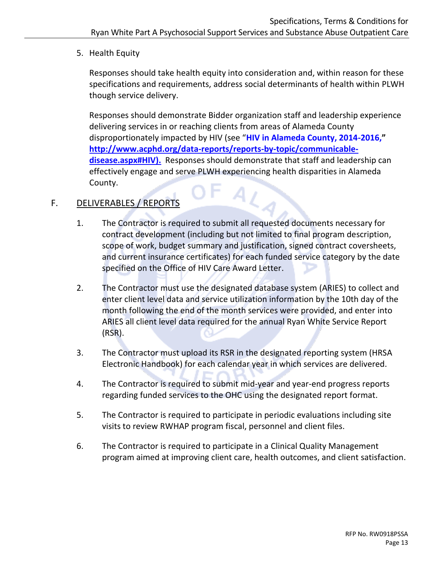5. Health Equity

Responses should take health equity into consideration and, within reason for these specifications and requirements, address social determinants of health within PLWH though service delivery.

Responses should demonstrate Bidder organization staff and leadership experience delivering services in or reaching clients from areas of Alameda County disproportionately impacted by HIV (see "**[HIV in Alameda County, 2014-2016,](http://www.acphd.org/data-reports/reports-by-topic/communicable-disease.aspx#HIV)" [http://www.acphd.org/data-reports/reports-by-topic/communicable](http://www.acphd.org/data-reports/reports-by-topic/communicable-disease.aspx#HIV))[disease.aspx#HIV\).](http://www.acphd.org/data-reports/reports-by-topic/communicable-disease.aspx#HIV))** Responses should demonstrate that staff and leadership can effectively engage and serve PLWH experiencing health disparities in Alameda County. AL

# <span id="page-12-0"></span>F. DELIVERABLES / REPORTS

- 1. The Contractor is required to submit all requested documents necessary for contract development (including but not limited to final program description, scope of work, budget summary and justification, signed contract coversheets, and current insurance certificates) for each funded service category by the date specified on the Office of HIV Care Award Letter.
- 2. The Contractor must use the designated database system (ARIES) to collect and enter client level data and service utilization information by the 10th day of the month following the end of the month services were provided, and enter into ARIES all client level data required for the annual Ryan White Service Report (RSR).
- 3. The Contractor must upload its RSR in the designated reporting system (HRSA Electronic Handbook) for each calendar year in which services are delivered.
- 4. The Contractor is required to submit mid-year and year-end progress reports regarding funded services to the OHC using the designated report format.
- 5. The Contractor is required to participate in periodic evaluations including site visits to review RWHAP program fiscal, personnel and client files.
- 6. The Contractor is required to participate in a Clinical Quality Management program aimed at improving client care, health outcomes, and client satisfaction.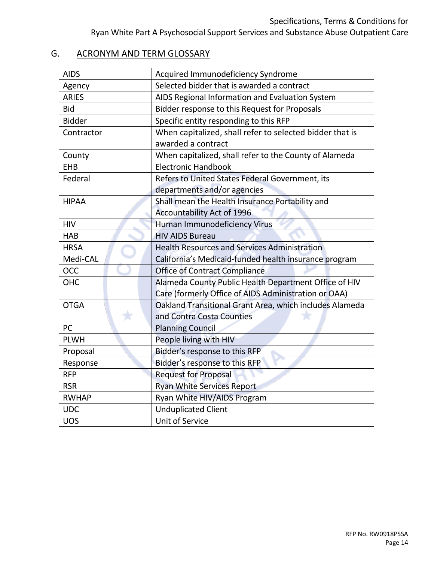#### <span id="page-13-0"></span>G. ACRONYM AND TERM GLOSSARY

| <b>AIDS</b>   | Acquired Immunodeficiency Syndrome                       |  |  |
|---------------|----------------------------------------------------------|--|--|
| Agency        | Selected bidder that is awarded a contract               |  |  |
| <b>ARIES</b>  | AIDS Regional Information and Evaluation System          |  |  |
| <b>Bid</b>    | Bidder response to this Request for Proposals            |  |  |
| <b>Bidder</b> | Specific entity responding to this RFP                   |  |  |
| Contractor    | When capitalized, shall refer to selected bidder that is |  |  |
|               | awarded a contract                                       |  |  |
| County        | When capitalized, shall refer to the County of Alameda   |  |  |
| <b>EHB</b>    | <b>Electronic Handbook</b>                               |  |  |
| Federal       | Refers to United States Federal Government, its          |  |  |
|               | departments and/or agencies                              |  |  |
| <b>HIPAA</b>  | Shall mean the Health Insurance Portability and          |  |  |
|               | Accountability Act of 1996                               |  |  |
| <b>HIV</b>    | Human Immunodeficiency Virus                             |  |  |
| <b>HAB</b>    | <b>HIV AIDS Bureau</b>                                   |  |  |
| <b>HRSA</b>   | <b>Health Resources and Services Administration</b>      |  |  |
| Medi-CAL      | California's Medicaid-funded health insurance program    |  |  |
| <b>OCC</b>    | <b>Office of Contract Compliance</b>                     |  |  |
| OHC           | Alameda County Public Health Department Office of HIV    |  |  |
|               | Care (formerly Office of AIDS Administration or OAA)     |  |  |
| <b>OTGA</b>   | Oakland Transitional Grant Area, which includes Alameda  |  |  |
|               | and Contra Costa Counties                                |  |  |
| <b>PC</b>     | <b>Planning Council</b>                                  |  |  |
| <b>PLWH</b>   | People living with HIV                                   |  |  |
| Proposal      | Bidder's response to this RFP                            |  |  |
| Response      | Bidder's response to this RFP                            |  |  |
| <b>RFP</b>    | <b>Request for Proposal</b>                              |  |  |
| <b>RSR</b>    | <b>Ryan White Services Report</b>                        |  |  |
| <b>RWHAP</b>  | Ryan White HIV/AIDS Program                              |  |  |
| <b>UDC</b>    | <b>Unduplicated Client</b>                               |  |  |
| <b>UOS</b>    | <b>Unit of Service</b>                                   |  |  |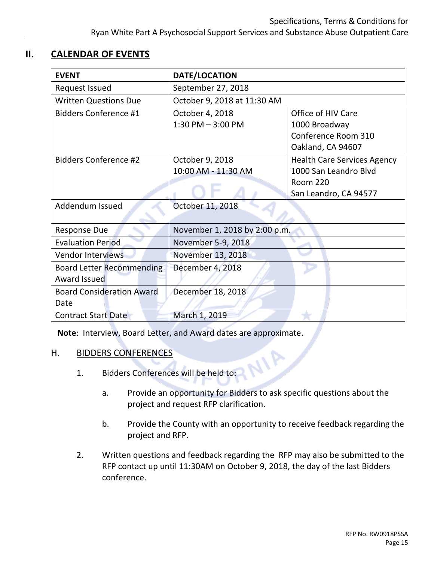# <span id="page-14-0"></span>**II. CALENDAR OF EVENTS**

| <b>EVENT</b>                     | DATE/LOCATION                 |                                    |  |
|----------------------------------|-------------------------------|------------------------------------|--|
| <b>Request Issued</b>            | September 27, 2018            |                                    |  |
| <b>Written Questions Due</b>     | October 9, 2018 at 11:30 AM   |                                    |  |
| <b>Bidders Conference #1</b>     | October 4, 2018               | Office of HIV Care                 |  |
|                                  | $1:30$ PM $-3:00$ PM          | 1000 Broadway                      |  |
|                                  |                               | Conference Room 310                |  |
|                                  |                               | Oakland, CA 94607                  |  |
| <b>Bidders Conference #2</b>     | October 9, 2018               | <b>Health Care Services Agency</b> |  |
|                                  | 10:00 AM - 11:30 AM           | 1000 San Leandro Blvd              |  |
|                                  |                               | <b>Room 220</b>                    |  |
|                                  |                               | San Leandro, CA 94577              |  |
| Addendum Issued                  | October 11, 2018              |                                    |  |
|                                  |                               |                                    |  |
| <b>Response Due</b>              | November 1, 2018 by 2:00 p.m. |                                    |  |
| <b>Evaluation Period</b>         | November 5-9, 2018            |                                    |  |
| <b>Vendor Interviews</b>         | November 13, 2018             |                                    |  |
| <b>Board Letter Recommending</b> | December 4, 2018              |                                    |  |
| Award Issued                     |                               |                                    |  |
| <b>Board Consideration Award</b> | December 18, 2018             |                                    |  |
| Date                             |                               |                                    |  |
| <b>Contract Start Date</b>       | March 1, 2019                 |                                    |  |

**Note**: Interview, Board Letter, and Award dates are approximate.

# <span id="page-14-1"></span>H. BIDDERS CONFERENCES

- 1. Bidders Conferences will be held to:
	- a. Provide an opportunity for Bidders to ask specific questions about the project and request RFP clarification.
	- b. Provide the County with an opportunity to receive feedback regarding the project and RFP.

NIP

2. Written questions and feedback regarding the RFP may also be submitted to the RFP contact up until 11:30AM on October 9, 2018, the day of the last Bidders conference.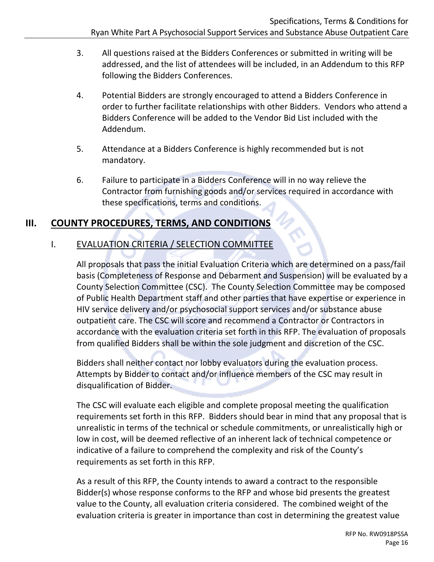- 3. All questions raised at the Bidders Conferences or submitted in writing will be addressed, and the list of attendees will be included, in an Addendum to this RFP following the Bidders Conferences.
- 4. Potential Bidders are strongly encouraged to attend a Bidders Conference in order to further facilitate relationships with other Bidders. Vendors who attend a Bidders Conference will be added to the Vendor Bid List included with the Addendum.
- 5. Attendance at a Bidders Conference is highly recommended but is not mandatory.
- 6. Failure to participate in a Bidders Conference will in no way relieve the Contractor from furnishing goods and/or services required in accordance with these specifications, terms and conditions.

# <span id="page-15-1"></span><span id="page-15-0"></span>**III. COUNTY PROCEDURES, TERMS, AND CONDITIONS**

# I. EVALUATION CRITERIA / SELECTION COMMITTEE

All proposals that pass the initial Evaluation Criteria which are determined on a pass/fail basis (Completeness of Response and Debarment and Suspension) will be evaluated by a County Selection Committee (CSC). The County Selection Committee may be composed of Public Health Department staff and other parties that have expertise or experience in HIV service delivery and/or psychosocial support services and/or substance abuse outpatient care. The CSC will score and recommend a Contractor or Contractors in accordance with the evaluation criteria set forth in this RFP. The evaluation of proposals from qualified Bidders shall be within the sole judgment and discretion of the CSC.

Bidders shall neither contact nor lobby evaluators during the evaluation process. Attempts by Bidder to contact and/or influence members of the CSC may result in disqualification of Bidder.

The CSC will evaluate each eligible and complete proposal meeting the qualification requirements set forth in this RFP. Bidders should bear in mind that any proposal that is unrealistic in terms of the technical or schedule commitments, or unrealistically high or low in cost, will be deemed reflective of an inherent lack of technical competence or indicative of a failure to comprehend the complexity and risk of the County's requirements as set forth in this RFP.

As a result of this RFP, the County intends to award a contract to the responsible Bidder(s) whose response conforms to the RFP and whose bid presents the greatest value to the County, all evaluation criteria considered. The combined weight of the evaluation criteria is greater in importance than cost in determining the greatest value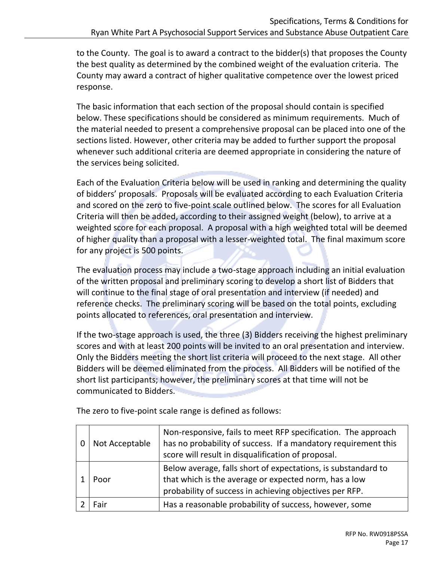to the County. The goal is to award a contract to the bidder(s) that proposes the County the best quality as determined by the combined weight of the evaluation criteria. The County may award a contract of higher qualitative competence over the lowest priced response.

The basic information that each section of the proposal should contain is specified below. These specifications should be considered as minimum requirements. Much of the material needed to present a comprehensive proposal can be placed into one of the sections listed. However, other criteria may be added to further support the proposal whenever such additional criteria are deemed appropriate in considering the nature of the services being solicited.

Each of the Evaluation Criteria below will be used in ranking and determining the quality of bidders' proposals. Proposals will be evaluated according to each Evaluation Criteria and scored on the zero to five-point scale outlined below. The scores for all Evaluation Criteria will then be added, according to their assigned weight (below), to arrive at a weighted score for each proposal. A proposal with a high weighted total will be deemed of higher quality than a proposal with a lesser-weighted total. The final maximum score for any project is 500 points.

The evaluation process may include a two-stage approach including an initial evaluation of the written proposal and preliminary scoring to develop a short list of Bidders that will continue to the final stage of oral presentation and interview (if needed) and reference checks. The preliminary scoring will be based on the total points, excluding points allocated to references, oral presentation and interview.

If the two-stage approach is used, the three (3) Bidders receiving the highest preliminary scores and with at least 200 points will be invited to an oral presentation and interview. Only the Bidders meeting the short list criteria will proceed to the next stage. All other Bidders will be deemed eliminated from the process. All Bidders will be notified of the short list participants; however, the preliminary scores at that time will not be communicated to Bidders.

|      | Not Acceptable | Non-responsive, fails to meet RFP specification. The approach<br>has no probability of success. If a mandatory requirement this<br>score will result in disqualification of proposal. |
|------|----------------|---------------------------------------------------------------------------------------------------------------------------------------------------------------------------------------|
| Poor |                | Below average, falls short of expectations, is substandard to<br>that which is the average or expected norm, has a low<br>probability of success in achieving objectives per RFP.     |
|      | Fair:          | Has a reasonable probability of success, however, some                                                                                                                                |

The zero to five-point scale range is defined as follows: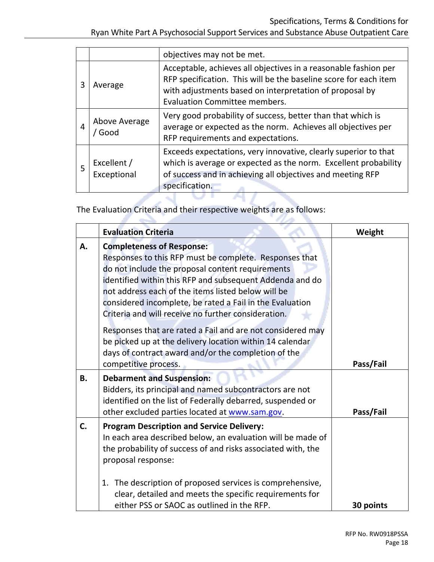Ryan White Part A Psychosocial Support Services and Substance Abuse Outpatient Care

|   |                            | objectives may not be met.                                                                                                                                                                                                      |  |  |
|---|----------------------------|---------------------------------------------------------------------------------------------------------------------------------------------------------------------------------------------------------------------------------|--|--|
| 3 | Average                    | Acceptable, achieves all objectives in a reasonable fashion per<br>RFP specification. This will be the baseline score for each item<br>with adjustments based on interpretation of proposal by<br>Evaluation Committee members. |  |  |
| 4 | Above Average<br>Good      | Very good probability of success, better than that which is<br>average or expected as the norm. Achieves all objectives per<br>RFP requirements and expectations.                                                               |  |  |
| 5 | Excellent /<br>Exceptional | Exceeds expectations, very innovative, clearly superior to that<br>which is average or expected as the norm. Excellent probability<br>of success and in achieving all objectives and meeting RFP<br>specification.              |  |  |

٦

The Evaluation Criteria and their respective weights are as follows:

|           | <b>Evaluation Criteria</b>                                                                                                                                                                                                                                                                                                                                                          | Weight    |
|-----------|-------------------------------------------------------------------------------------------------------------------------------------------------------------------------------------------------------------------------------------------------------------------------------------------------------------------------------------------------------------------------------------|-----------|
| Α.        | <b>Completeness of Response:</b><br>Responses to this RFP must be complete. Responses that<br>do not include the proposal content requirements<br>identified within this RFP and subsequent Addenda and do<br>not address each of the items listed below will be<br>considered incomplete, be rated a Fail in the Evaluation<br>Criteria and will receive no further consideration. |           |
|           | Responses that are rated a Fail and are not considered may<br>be picked up at the delivery location within 14 calendar<br>days of contract award and/or the completion of the<br>competitive process.                                                                                                                                                                               | Pass/Fail |
| <b>B.</b> | <b>Debarment and Suspension:</b><br>Bidders, its principal and named subcontractors are not<br>identified on the list of Federally debarred, suspended or<br>other excluded parties located at www.sam.gov.                                                                                                                                                                         | Pass/Fail |
| C.        | <b>Program Description and Service Delivery:</b><br>In each area described below, an evaluation will be made of<br>the probability of success of and risks associated with, the<br>proposal response:                                                                                                                                                                               |           |
|           | The description of proposed services is comprehensive,<br>1.<br>clear, detailed and meets the specific requirements for<br>either PSS or SAOC as outlined in the RFP.                                                                                                                                                                                                               | 30 points |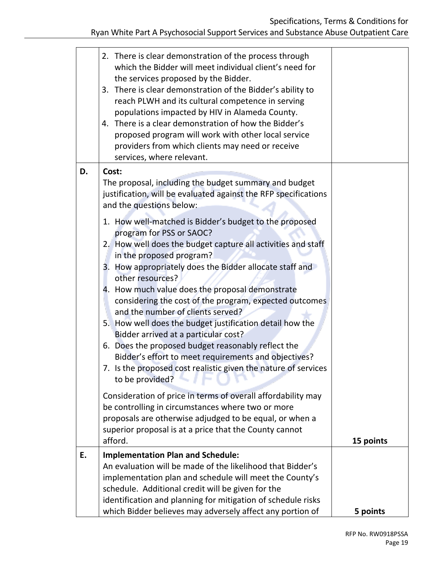# Specifications, Terms & Conditions for

|    | 2. There is clear demonstration of the process through<br>which the Bidder will meet individual client's need for<br>the services proposed by the Bidder.<br>3. There is clear demonstration of the Bidder's ability to<br>reach PLWH and its cultural competence in serving<br>populations impacted by HIV in Alameda County.<br>4. There is a clear demonstration of how the Bidder's<br>proposed program will work with other local service<br>providers from which clients may need or receive<br>services, where relevant.                                                                                                                                                                                        |           |
|----|------------------------------------------------------------------------------------------------------------------------------------------------------------------------------------------------------------------------------------------------------------------------------------------------------------------------------------------------------------------------------------------------------------------------------------------------------------------------------------------------------------------------------------------------------------------------------------------------------------------------------------------------------------------------------------------------------------------------|-----------|
| D. | Cost:<br>The proposal, including the budget summary and budget<br>justification, will be evaluated against the RFP specifications<br>and the questions below:                                                                                                                                                                                                                                                                                                                                                                                                                                                                                                                                                          |           |
|    | 1. How well-matched is Bidder's budget to the proposed<br>program for PSS or SAOC?<br>2. How well does the budget capture all activities and staff<br>in the proposed program?<br>3. How appropriately does the Bidder allocate staff and<br>other resources?<br>4. How much value does the proposal demonstrate<br>considering the cost of the program, expected outcomes<br>and the number of clients served?<br>5. How well does the budget justification detail how the<br>Bidder arrived at a particular cost?<br>6. Does the proposed budget reasonably reflect the<br>Bidder's effort to meet requirements and objectives?<br>7. Is the proposed cost realistic given the nature of services<br>to be provided? |           |
|    | Consideration of price in terms of overall affordability may<br>be controlling in circumstances where two or more<br>proposals are otherwise adjudged to be equal, or when a<br>superior proposal is at a price that the County cannot<br>afford.                                                                                                                                                                                                                                                                                                                                                                                                                                                                      | 15 points |
| E. | <b>Implementation Plan and Schedule:</b><br>An evaluation will be made of the likelihood that Bidder's<br>implementation plan and schedule will meet the County's<br>schedule. Additional credit will be given for the<br>identification and planning for mitigation of schedule risks                                                                                                                                                                                                                                                                                                                                                                                                                                 |           |
|    | which Bidder believes may adversely affect any portion of                                                                                                                                                                                                                                                                                                                                                                                                                                                                                                                                                                                                                                                              | 5 points  |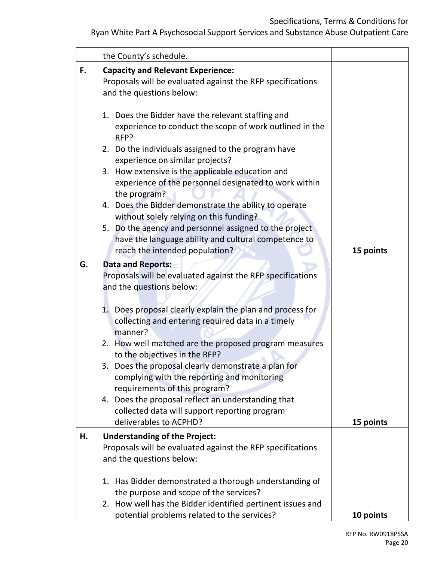# Specifications, Terms & Conditions for

| the County's schedule.                                                                                                                                                                                                                                                                                                                                                                                                                                                                                                                                                                                            |                                             |
|-------------------------------------------------------------------------------------------------------------------------------------------------------------------------------------------------------------------------------------------------------------------------------------------------------------------------------------------------------------------------------------------------------------------------------------------------------------------------------------------------------------------------------------------------------------------------------------------------------------------|---------------------------------------------|
| <b>Capacity and Relevant Experience:</b><br>Proposals will be evaluated against the RFP specifications<br>and the questions below:                                                                                                                                                                                                                                                                                                                                                                                                                                                                                |                                             |
| 1. Does the Bidder have the relevant staffing and<br>experience to conduct the scope of work outlined in the<br>RFP?<br>2. Do the individuals assigned to the program have<br>experience on similar projects?<br>3. How extensive is the applicable education and<br>experience of the personnel designated to work within<br>the program?<br>4. Does the Bidder demonstrate the ability to operate<br>without solely relying on this funding?<br>5. Do the agency and personnel assigned to the project<br>have the language ability and cultural competence to<br>reach the intended population?                | 15 points                                   |
| <b>Data and Reports:</b><br>Proposals will be evaluated against the RFP specifications<br>and the questions below:<br>1. Does proposal clearly explain the plan and process for<br>collecting and entering required data in a timely<br>manner?<br>2. How well matched are the proposed program measures<br>to the objectives in the RFP?<br>3. Does the proposal clearly demonstrate a plan for<br>complying with the reporting and monitoring<br>requirements of this program?<br>4. Does the proposal reflect an understanding that<br>collected data will support reporting program<br>deliverables to ACPHD? | 15 points                                   |
| <b>Understanding of the Project:</b><br>Proposals will be evaluated against the RFP specifications<br>and the questions below:<br>1. Has Bidder demonstrated a thorough understanding of<br>the purpose and scope of the services?<br>2. How well has the Bidder identified pertinent issues and                                                                                                                                                                                                                                                                                                                  | 10 points                                   |
|                                                                                                                                                                                                                                                                                                                                                                                                                                                                                                                                                                                                                   | potential problems related to the services? |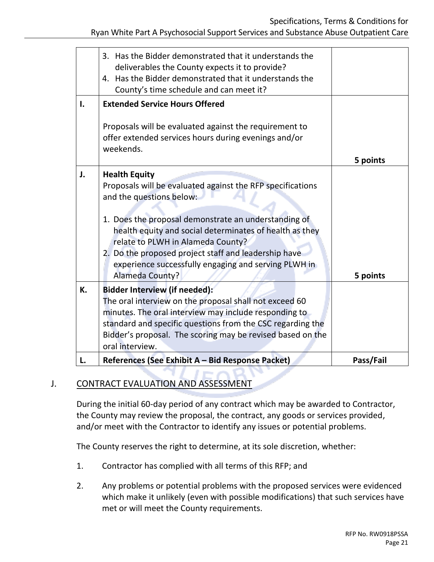Specifications, Terms & Conditions for

|    | 3. Has the Bidder demonstrated that it understands the<br>deliverables the County expects it to provide?<br>4. Has the Bidder demonstrated that it understands the<br>County's time schedule and can meet it?                                                                                                                                                                                             |           |
|----|-----------------------------------------------------------------------------------------------------------------------------------------------------------------------------------------------------------------------------------------------------------------------------------------------------------------------------------------------------------------------------------------------------------|-----------|
| ı. | <b>Extended Service Hours Offered</b>                                                                                                                                                                                                                                                                                                                                                                     |           |
|    | Proposals will be evaluated against the requirement to<br>offer extended services hours during evenings and/or<br>weekends.                                                                                                                                                                                                                                                                               |           |
|    |                                                                                                                                                                                                                                                                                                                                                                                                           | 5 points  |
| J. | <b>Health Equity</b><br>Proposals will be evaluated against the RFP specifications<br>and the questions below:<br>1. Does the proposal demonstrate an understanding of<br>health equity and social determinates of health as they<br>relate to PLWH in Alameda County?<br>2. Do the proposed project staff and leadership have<br>experience successfully engaging and serving PLWH in<br>Alameda County? | 5 points  |
| К. | <b>Bidder Interview (if needed):</b><br>The oral interview on the proposal shall not exceed 60<br>minutes. The oral interview may include responding to<br>standard and specific questions from the CSC regarding the<br>Bidder's proposal. The scoring may be revised based on the<br>oral interview.                                                                                                    |           |
| L. | References (See Exhibit A - Bid Response Packet)                                                                                                                                                                                                                                                                                                                                                          | Pass/Fail |

# <span id="page-20-0"></span>J. CONTRACT EVALUATION AND ASSESSMENT

During the initial 60-day period of any contract which may be awarded to Contractor, the County may review the proposal, the contract, any goods or services provided, and/or meet with the Contractor to identify any issues or potential problems.

The County reserves the right to determine, at its sole discretion, whether:

- 1. Contractor has complied with all terms of this RFP; and
- 2. Any problems or potential problems with the proposed services were evidenced which make it unlikely (even with possible modifications) that such services have met or will meet the County requirements.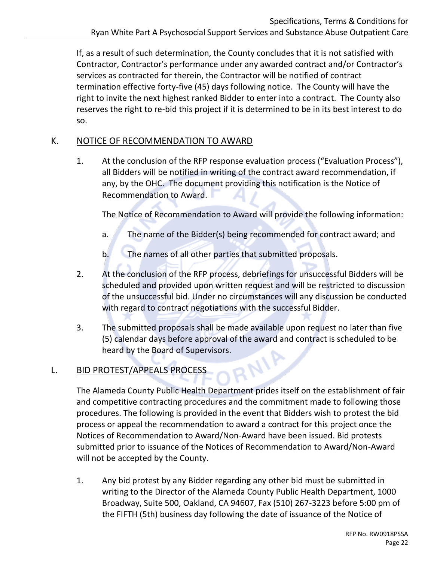If, as a result of such determination, the County concludes that it is not satisfied with Contractor, Contractor's performance under any awarded contract and/or Contractor's services as contracted for therein, the Contractor will be notified of contract termination effective forty-five (45) days following notice. The County will have the right to invite the next highest ranked Bidder to enter into a contract. The County also reserves the right to re-bid this project if it is determined to be in its best interest to do so.

# <span id="page-21-0"></span>K. NOTICE OF RECOMMENDATION TO AWARD

1. At the conclusion of the RFP response evaluation process ("Evaluation Process"), all Bidders will be notified in writing of the contract award recommendation, if any, by the OHC. The document providing this notification is the Notice of Recommendation to Award.

The Notice of Recommendation to Award will provide the following information:

- a. The name of the Bidder(s) being recommended for contract award; and
- b. The names of all other parties that submitted proposals.
- 2. At the conclusion of the RFP process, debriefings for unsuccessful Bidders will be scheduled and provided upon written request and will be restricted to discussion of the unsuccessful bid. Under no circumstances will any discussion be conducted with regard to contract negotiations with the successful Bidder.
- 3. The submitted proposals shall be made available upon request no later than five (5) calendar days before approval of the award and contract is scheduled to be heard by the Board of Supervisors. **AIVE**

# <span id="page-21-1"></span>L. BID PROTEST/APPEALS PROCESS

The Alameda County Public Health Department prides itself on the establishment of fair and competitive contracting procedures and the commitment made to following those procedures. The following is provided in the event that Bidders wish to protest the bid process or appeal the recommendation to award a contract for this project once the Notices of Recommendation to Award/Non-Award have been issued. Bid protests submitted prior to issuance of the Notices of Recommendation to Award/Non-Award will not be accepted by the County.

1. Any bid protest by any Bidder regarding any other bid must be submitted in writing to the Director of the Alameda County Public Health Department, 1000 Broadway, Suite 500, Oakland, CA 94607, Fax (510) 267-3223 before 5:00 pm of the FIFTH (5th) business day following the date of issuance of the Notice of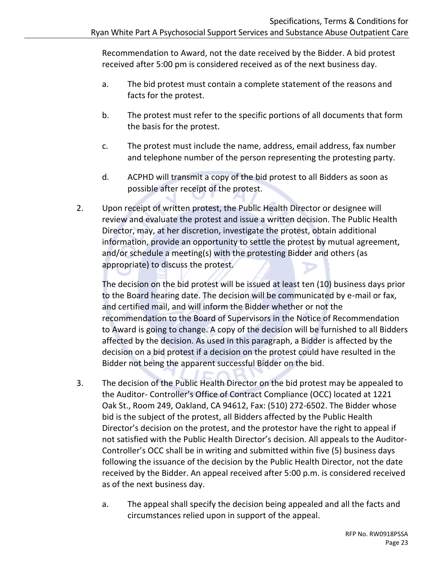Recommendation to Award, not the date received by the Bidder. A bid protest received after 5:00 pm is considered received as of the next business day.

- a. The bid protest must contain a complete statement of the reasons and facts for the protest.
- b. The protest must refer to the specific portions of all documents that form the basis for the protest.
- c. The protest must include the name, address, email address, fax number and telephone number of the person representing the protesting party.
- d. ACPHD will transmit a copy of the bid protest to all Bidders as soon as possible after receipt of the protest.
- 2. Upon receipt of written protest, the Public Health Director or designee will review and evaluate the protest and issue a written decision. The Public Health Director, may, at her discretion, investigate the protest, obtain additional information, provide an opportunity to settle the protest by mutual agreement, and/or schedule a meeting(s) with the protesting Bidder and others (as appropriate) to discuss the protest.

The decision on the bid protest will be issued at least ten (10) business days prior to the Board hearing date. The decision will be communicated by e-mail or fax, and certified mail, and will inform the Bidder whether or not the recommendation to the Board of Supervisors in the Notice of Recommendation to Award is going to change. A copy of the decision will be furnished to all Bidders affected by the decision. As used in this paragraph, a Bidder is affected by the decision on a bid protest if a decision on the protest could have resulted in the Bidder not being the apparent successful Bidder on the bid.

- 3. The decision of the Public Health Director on the bid protest may be appealed to the Auditor- Controller's Office of Contract Compliance (OCC) located at 1221 Oak St., Room 249, Oakland, CA 94612, Fax: (510) 272-6502. The Bidder whose bid is the subject of the protest, all Bidders affected by the Public Health Director's decision on the protest, and the protestor have the right to appeal if not satisfied with the Public Health Director's decision. All appeals to the Auditor-Controller's OCC shall be in writing and submitted within five (5) business days following the issuance of the decision by the Public Health Director, not the date received by the Bidder. An appeal received after 5:00 p.m. is considered received as of the next business day.
	- a. The appeal shall specify the decision being appealed and all the facts and circumstances relied upon in support of the appeal.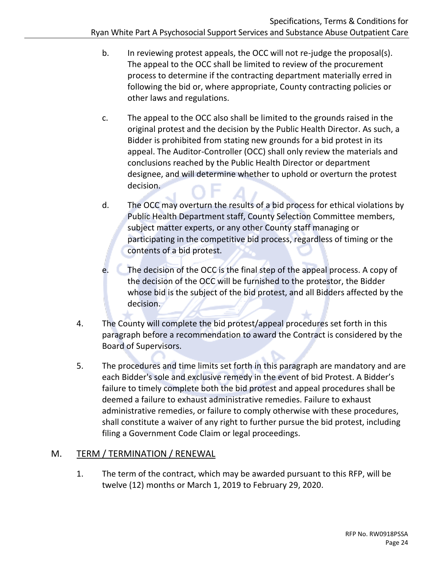- b. In reviewing protest appeals, the OCC will not re-judge the proposal(s). The appeal to the OCC shall be limited to review of the procurement process to determine if the contracting department materially erred in following the bid or, where appropriate, County contracting policies or other laws and regulations.
- c. The appeal to the OCC also shall be limited to the grounds raised in the original protest and the decision by the Public Health Director. As such, a Bidder is prohibited from stating new grounds for a bid protest in its appeal. The Auditor-Controller (OCC) shall only review the materials and conclusions reached by the Public Health Director or department designee, and will determine whether to uphold or overturn the protest decision.
- d. The OCC may overturn the results of a bid process for ethical violations by Public Health Department staff, County Selection Committee members, subject matter experts, or any other County staff managing or participating in the competitive bid process, regardless of timing or the contents of a bid protest.
- e. The decision of the OCC is the final step of the appeal process. A copy of the decision of the OCC will be furnished to the protestor, the Bidder whose bid is the subject of the bid protest, and all Bidders affected by the decision.
- 4. The County will complete the bid protest/appeal procedures set forth in this paragraph before a recommendation to award the Contract is considered by the Board of Supervisors.
- 5. The procedures and time limits set forth in this paragraph are mandatory and are each Bidder's sole and exclusive remedy in the event of bid Protest. A Bidder's failure to timely complete both the bid protest and appeal procedures shall be deemed a failure to exhaust administrative remedies. Failure to exhaust administrative remedies, or failure to comply otherwise with these procedures, shall constitute a waiver of any right to further pursue the bid protest, including filing a Government Code Claim or legal proceedings.

# <span id="page-23-0"></span>M. TERM / TERMINATION / RENEWAL

1. The term of the contract, which may be awarded pursuant to this RFP, will be twelve (12) months or March 1, 2019 to February 29, 2020.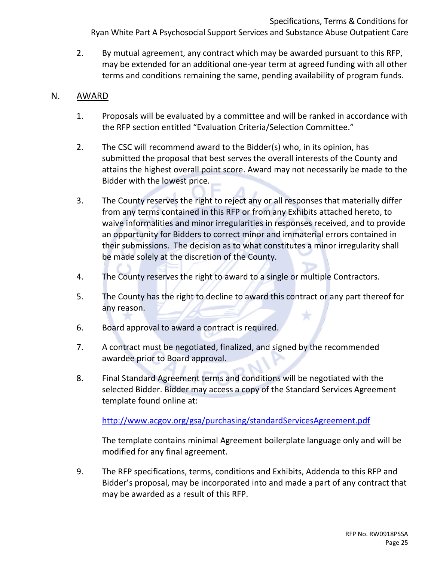2. By mutual agreement, any contract which may be awarded pursuant to this RFP, may be extended for an additional one-year term at agreed funding with all other terms and conditions remaining the same, pending availability of program funds.

# <span id="page-24-0"></span>N. AWARD

- 1. Proposals will be evaluated by a committee and will be ranked in accordance with the RFP section entitled "Evaluation Criteria/Selection Committee."
- 2. The CSC will recommend award to the Bidder(s) who, in its opinion, has submitted the proposal that best serves the overall interests of the County and attains the highest overall point score. Award may not necessarily be made to the Bidder with the lowest price.
- 3. The County reserves the right to reject any or all responses that materially differ from any terms contained in this RFP or from any Exhibits attached hereto, to waive informalities and minor irregularities in responses received, and to provide an opportunity for Bidders to correct minor and immaterial errors contained in their submissions. The decision as to what constitutes a minor irregularity shall be made solely at the discretion of the County.
- 4. The County reserves the right to award to a single or multiple Contractors.
- 5. The County has the right to decline to award this contract or any part thereof for any reason.
- 6. Board approval to award a contract is required.
- 7. A contract must be negotiated, finalized, and signed by the recommended awardee prior to Board approval.
- 8. Final Standard Agreement terms and conditions will be negotiated with the selected Bidder. Bidder may access a copy of the Standard Services Agreement template found online at:

<http://www.acgov.org/gsa/purchasing/standardServicesAgreement.pdf>

The template contains minimal Agreement boilerplate language only and will be modified for any final agreement.

9. The RFP specifications, terms, conditions and Exhibits, Addenda to this RFP and Bidder's proposal, may be incorporated into and made a part of any contract that may be awarded as a result of this RFP.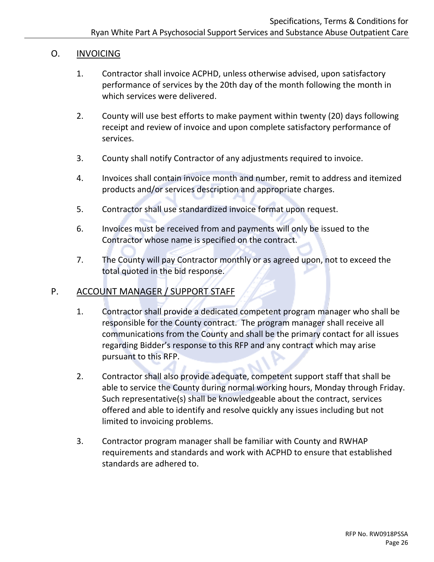# <span id="page-25-0"></span>O. INVOICING

- 1. Contractor shall invoice ACPHD, unless otherwise advised, upon satisfactory performance of services by the 20th day of the month following the month in which services were delivered.
- 2. County will use best efforts to make payment within twenty (20) days following receipt and review of invoice and upon complete satisfactory performance of services.
- 3. County shall notify Contractor of any adjustments required to invoice.
- 4. Invoices shall contain invoice month and number, remit to address and itemized products and/or services description and appropriate charges.
- 5. Contractor shall use standardized invoice format upon request.
- 6. Invoices must be received from and payments will only be issued to the Contractor whose name is specified on the contract.
- 7. The County will pay Contractor monthly or as agreed upon, not to exceed the total quoted in the bid response.

# <span id="page-25-1"></span>P. ACCOUNT MANAGER / SUPPORT STAFF

- 1. Contractor shall provide a dedicated competent program manager who shall be responsible for the County contract. The program manager shall receive all communications from the County and shall be the primary contact for all issues regarding Bidder's response to this RFP and any contract which may arise pursuant to this RFP.
- 2. Contractor shall also provide adequate, competent support staff that shall be able to service the County during normal working hours, Monday through Friday. Such representative(s) shall be knowledgeable about the contract, services offered and able to identify and resolve quickly any issues including but not limited to invoicing problems.
- 3. Contractor program manager shall be familiar with County and RWHAP requirements and standards and work with ACPHD to ensure that established standards are adhered to.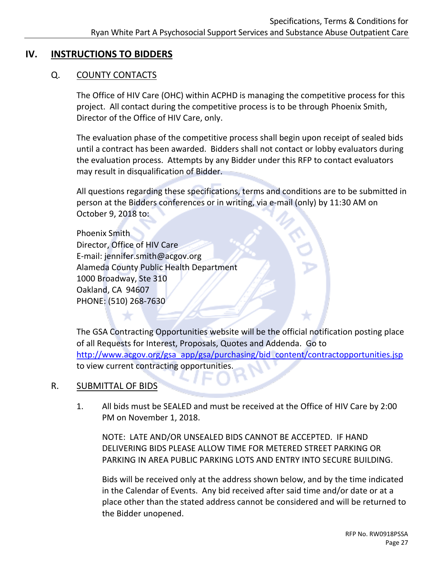# <span id="page-26-1"></span><span id="page-26-0"></span>**IV. INSTRUCTIONS TO BIDDERS**

# Q. COUNTY CONTACTS

The Office of HIV Care (OHC) within ACPHD is managing the competitive process for this project. All contact during the competitive process is to be through Phoenix Smith, Director of the Office of HIV Care, only.

The evaluation phase of the competitive process shall begin upon receipt of sealed bids until a contract has been awarded. Bidders shall not contact or lobby evaluators during the evaluation process. Attempts by any Bidder under this RFP to contact evaluators may result in disqualification of Bidder.

All questions regarding these specifications, terms and conditions are to be submitted in person at the Bidders conferences or in writing, via e-mail (only) by 11:30 AM on October 9, 2018 to:

Phoenix Smith Director, Office of HIV Care E-mail: jennifer.smith@acgov.org Alameda County Public Health Department 1000 Broadway, Ste 310 Oakland, CA 94607 PHONE: (510) 268-7630

The GSA Contracting Opportunities website will be the official notification posting place of all Requests for Interest, Proposals, Quotes and Addenda. Go to [http://www.acgov.org/gsa\\_app/gsa/purchasing/bid\\_content/contractopportunities.jsp](http://www.acgov.org/gsa_app/gsa/purchasing/bid_content/contractopportunities.jsp) to view current contracting opportunities.

# <span id="page-26-2"></span>R. SUBMITTAL OF BIDS

1. All bids must be SEALED and must be received at the Office of HIV Care by 2:00 PM on November 1, 2018.

NOTE: LATE AND/OR UNSEALED BIDS CANNOT BE ACCEPTED. IF HAND DELIVERING BIDS PLEASE ALLOW TIME FOR METERED STREET PARKING OR PARKING IN AREA PUBLIC PARKING LOTS AND ENTRY INTO SECURE BUILDING.

Bids will be received only at the address shown below, and by the time indicated in the Calendar of Events. Any bid received after said time and/or date or at a place other than the stated address cannot be considered and will be returned to the Bidder unopened.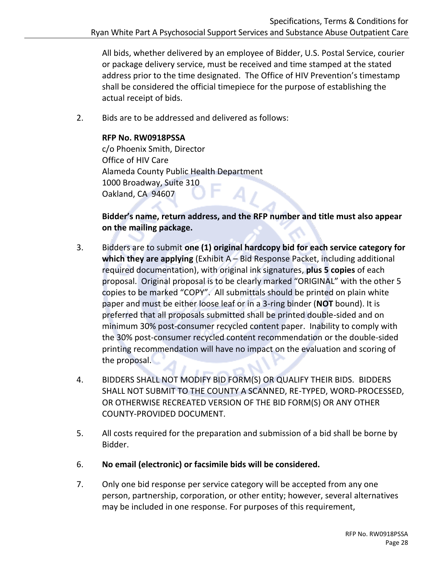All bids, whether delivered by an employee of Bidder, U.S. Postal Service, courier or package delivery service, must be received and time stamped at the stated address prior to the time designated. The Office of HIV Prevention's timestamp shall be considered the official timepiece for the purpose of establishing the actual receipt of bids.

2. Bids are to be addressed and delivered as follows:

#### **RFP No. RW0918PSSA**

c/o Phoenix Smith, Director Office of HIV Care Alameda County Public Health Department 1000 Broadway, Suite 310 Oakland, CA 94607

# **Bidder's name, return address, and the RFP number and title must also appear on the mailing package.**

- 3. Bidders are to submit **one (1) original hardcopy bid for each service category for which they are applying** (Exhibit A – Bid Response Packet, including additional required documentation), with original ink signatures, **plus 5 copies** of each proposal. Original proposal is to be clearly marked "ORIGINAL" with the other 5 copies to be marked "COPY". All submittals should be printed on plain white paper and must be either loose leaf or in a 3-ring binder (**NOT** bound). It is preferred that all proposals submitted shall be printed double-sided and on minimum 30% post-consumer recycled content paper. Inability to comply with the 30% post-consumer recycled content recommendation or the double-sided printing recommendation will have no impact on the evaluation and scoring of the proposal.
- 4. BIDDERS SHALL NOT MODIFY BID FORM(S) OR QUALIFY THEIR BIDS. BIDDERS SHALL NOT SUBMIT TO THE COUNTY A SCANNED, RE-TYPED, WORD-PROCESSED, OR OTHERWISE RECREATED VERSION OF THE BID FORM(S) OR ANY OTHER COUNTY-PROVIDED DOCUMENT.
- 5. All costs required for the preparation and submission of a bid shall be borne by Bidder.
- 6. **No email (electronic) or facsimile bids will be considered.**
- 7. Only one bid response per service category will be accepted from any one person, partnership, corporation, or other entity; however, several alternatives may be included in one response. For purposes of this requirement,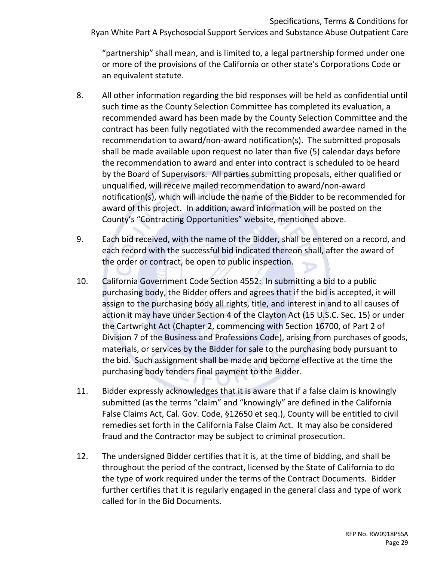"partnership" shall mean, and is limited to, a legal partnership formed under one or more of the provisions of the California or other state's Corporations Code or an equivalent statute.

- 8. All other information regarding the bid responses will be held as confidential until such time as the County Selection Committee has completed its evaluation, a recommended award has been made by the County Selection Committee and the contract has been fully negotiated with the recommended awardee named in the recommendation to award/non-award notification(s). The submitted proposals shall be made available upon request no later than five (5) calendar days before the recommendation to award and enter into contract is scheduled to be heard by the Board of Supervisors. All parties submitting proposals, either qualified or unqualified, will receive mailed recommendation to award/non-award notification(s), which will include the name of the Bidder to be recommended for award of this project. In addition, award information will be posted on the County's "Contracting Opportunities" website, mentioned above.
- 9. Each bid received, with the name of the Bidder, shall be entered on a record, and each record with the successful bid indicated thereon shall, after the award of the order or contract, be open to public inspection.
- 10. California Government Code Section 4552: In submitting a bid to a public purchasing body, the Bidder offers and agrees that if the bid is accepted, it will assign to the purchasing body all rights, title, and interest in and to all causes of action it may have under Section 4 of the Clayton Act (15 U.S.C. Sec. 15) or under the Cartwright Act (Chapter 2, commencing with Section 16700, of Part 2 of Division 7 of the Business and Professions Code), arising from purchases of goods, materials, or services by the Bidder for sale to the purchasing body pursuant to the bid. Such assignment shall be made and become effective at the time the purchasing body tenders final payment to the Bidder.
- 11. Bidder expressly acknowledges that it is aware that if a false claim is knowingly submitted (as the terms "claim" and "knowingly" are defined in the California False Claims Act, Cal. Gov. Code, §12650 et seq.), County will be entitled to civil remedies set forth in the California False Claim Act. It may also be considered fraud and the Contractor may be subject to criminal prosecution.
- 12. The undersigned Bidder certifies that it is, at the time of bidding, and shall be throughout the period of the contract, licensed by the State of California to do the type of work required under the terms of the Contract Documents. Bidder further certifies that it is regularly engaged in the general class and type of work called for in the Bid Documents.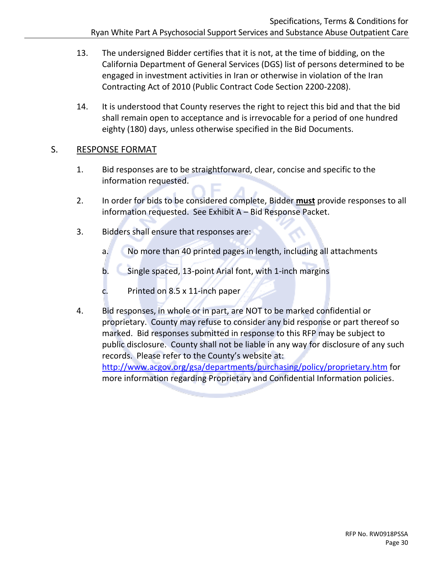- 13. The undersigned Bidder certifies that it is not, at the time of bidding, on the California Department of General Services (DGS) list of persons determined to be engaged in investment activities in Iran or otherwise in violation of the Iran Contracting Act of 2010 (Public Contract Code Section 2200-2208).
- 14. It is understood that County reserves the right to reject this bid and that the bid shall remain open to acceptance and is irrevocable for a period of one hundred eighty (180) days, unless otherwise specified in the Bid Documents.

#### <span id="page-29-0"></span>S. RESPONSE FORMAT

- 1. Bid responses are to be straightforward, clear, concise and specific to the information requested.
- 2. In order for bids to be considered complete, Bidder **must** provide responses to all information requested. See Exhibit A – Bid Response Packet.
- 3. Bidders shall ensure that responses are:
	- a. No more than 40 printed pages in length, including all attachments
	- b. Single spaced, 13-point Arial font, with 1-inch margins
	- c. Printed on 8.5 x 11-inch paper
- 4. Bid responses, in whole or in part, are NOT to be marked confidential or proprietary. County may refuse to consider any bid response or part thereof so marked. Bid responses submitted in response to this RFP may be subject to public disclosure. County shall not be liable in any way for disclosure of any such records. Please refer to the County's website at:

<http://www.acgov.org/gsa/departments/purchasing/policy/proprietary.htm> for more information regarding Proprietary and Confidential Information policies.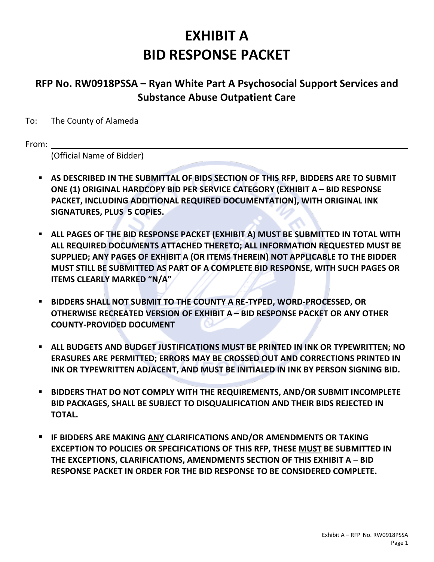# **EXHIBIT A BID RESPONSE PACKET**

# <span id="page-30-1"></span><span id="page-30-0"></span>**RFP No. RW0918PSSA – Ryan White Part A Psychosocial Support Services and Substance Abuse Outpatient Care**

To: The County of Alameda

From:

(Official Name of Bidder)

- **AS DESCRIBED IN THE SUBMITTAL OF BIDS SECTION OF THIS RFP, BIDDERS ARE TO SUBMIT ONE (1) ORIGINAL HARDCOPY BID PER SERVICE CATEGORY (EXHIBIT A – BID RESPONSE PACKET, INCLUDING ADDITIONAL REQUIRED DOCUMENTATION), WITH ORIGINAL INK SIGNATURES, PLUS 5 COPIES.**
- **EXECTED ALL PAGES OF THE BID RESPONSE PACKET (EXHIBIT A) MUST BE SUBMITTED IN TOTAL WITH ALL REQUIRED DOCUMENTS ATTACHED THERETO; ALL INFORMATION REQUESTED MUST BE SUPPLIED; ANY PAGES OF EXHIBIT A (OR ITEMS THEREIN) NOT APPLICABLE TO THE BIDDER MUST STILL BE SUBMITTED AS PART OF A COMPLETE BID RESPONSE, WITH SUCH PAGES OR ITEMS CLEARLY MARKED "N/A"**
- **BIDDERS SHALL NOT SUBMIT TO THE COUNTY A RE-TYPED, WORD-PROCESSED, OR OTHERWISE RECREATED VERSION OF EXHIBIT A – BID RESPONSE PACKET OR ANY OTHER COUNTY-PROVIDED DOCUMENT**
- **ALL BUDGETS AND BUDGET JUSTIFICATIONS MUST BE PRINTED IN INK OR TYPEWRITTEN; NO ERASURES ARE PERMITTED; ERRORS MAY BE CROSSED OUT AND CORRECTIONS PRINTED IN INK OR TYPEWRITTEN ADJACENT, AND MUST BE INITIALED IN INK BY PERSON SIGNING BID.**
- **BIDDERS THAT DO NOT COMPLY WITH THE REQUIREMENTS, AND/OR SUBMIT INCOMPLETE BID PACKAGES, SHALL BE SUBJECT TO DISQUALIFICATION AND THEIR BIDS REJECTED IN TOTAL.**
- **IF BIDDERS ARE MAKING ANY CLARIFICATIONS AND/OR AMENDMENTS OR TAKING EXCEPTION TO POLICIES OR SPECIFICATIONS OF THIS RFP, THESE MUST BE SUBMITTED IN THE EXCEPTIONS, CLARIFICATIONS, AMENDMENTS SECTION OF THIS EXHIBIT A – BID RESPONSE PACKET IN ORDER FOR THE BID RESPONSE TO BE CONSIDERED COMPLETE.**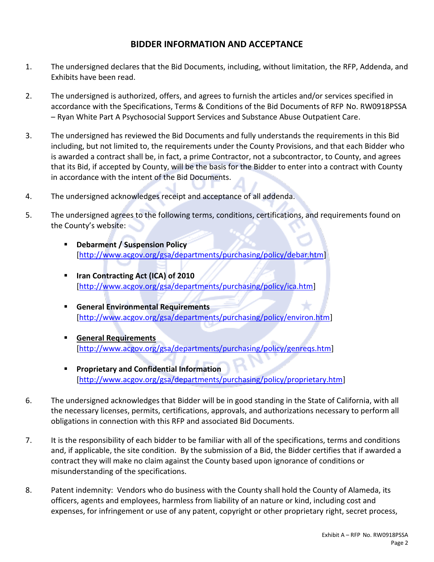#### **BIDDER INFORMATION AND ACCEPTANCE**

- 1. The undersigned declares that the Bid Documents, including, without limitation, the RFP, Addenda, and Exhibits have been read.
- 2. The undersigned is authorized, offers, and agrees to furnish the articles and/or services specified in accordance with the Specifications, Terms & Conditions of the Bid Documents of RFP No. RW0918PSSA – Ryan White Part A Psychosocial Support Services and Substance Abuse Outpatient Care.
- 3. The undersigned has reviewed the Bid Documents and fully understands the requirements in this Bid including, but not limited to, the requirements under the County Provisions, and that each Bidder who is awarded a contract shall be, in fact, a prime Contractor, not a subcontractor, to County, and agrees that its Bid, if accepted by County, will be the basis for the Bidder to enter into a contract with County in accordance with the intent of the Bid Documents.
- 4. The undersigned acknowledges receipt and acceptance of all addenda.
- 5. The undersigned agrees to the following terms, conditions, certifications, and requirements found on the County's website:
	- **[Debarment / Suspension Policy](http://www.acgov.org/gsa/departments/purchasing/policy/debar.htm)** [\[http://www.acgov.org/gsa/departments/purchasing/policy/debar.htm\]](http://www.acgov.org/gsa/departments/purchasing/policy/debar.htm)
	- **[Iran Contracting Act \(ICA\) of 2010](http://www.acgov.org/gsa/departments/purchasing/policy/ica.htm)** [\[http://www.acgov.org/gsa/departments/purchasing/policy/ica.htm\]](http://www.acgov.org/gsa/departments/purchasing/policy/ica.htm)
	- **[General Environmental Requirements](http://www.acgov.org/gsa/departments/purchasing/policy/environ.htm)** [\[http://www.acgov.org/gsa/departments/purchasing/policy/environ.htm\]](http://www.acgov.org/gsa/departments/purchasing/policy/environ.htm)
	- **[General Requirements](http://www.acgov.org/gsa/departments/purchasing/policy/genreqs.htm)** [http://www.acgov.org/gsa/departments/purchasing/policy/genreqs.html
	- **[Proprietary and Confidential Information](http://www.acgov.org/gsa/departments/purchasing/policy/proprietary.htm)** [\[http://www.acgov.org/gsa/departments/purchasing/policy/proprietary.htm\]](http://www.acgov.org/gsa/departments/purchasing/policy/proprietary.htm)
- 6. The undersigned acknowledges that Bidder will be in good standing in the State of California, with all the necessary licenses, permits, certifications, approvals, and authorizations necessary to perform all obligations in connection with this RFP and associated Bid Documents.
- 7. It is the responsibility of each bidder to be familiar with all of the specifications, terms and conditions and, if applicable, the site condition. By the submission of a Bid, the Bidder certifies that if awarded a contract they will make no claim against the County based upon ignorance of conditions or misunderstanding of the specifications.
- 8. Patent indemnity: Vendors who do business with the County shall hold the County of Alameda, its officers, agents and employees, harmless from liability of an nature or kind, including cost and expenses, for infringement or use of any patent, copyright or other proprietary right, secret process,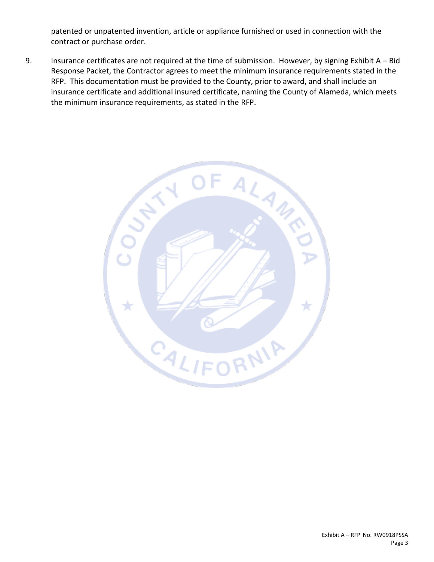patented or unpatented invention, article or appliance furnished or used in connection with the contract or purchase order.

9. Insurance certificates are not required at the time of submission. However, by signing Exhibit A – Bid Response Packet, the Contractor agrees to meet the minimum insurance requirements stated in the RFP. This documentation must be provided to the County, prior to award, and shall include an insurance certificate and additional insured certificate, naming the County of Alameda, which meets the minimum insurance requirements, as stated in the RFP. **\**

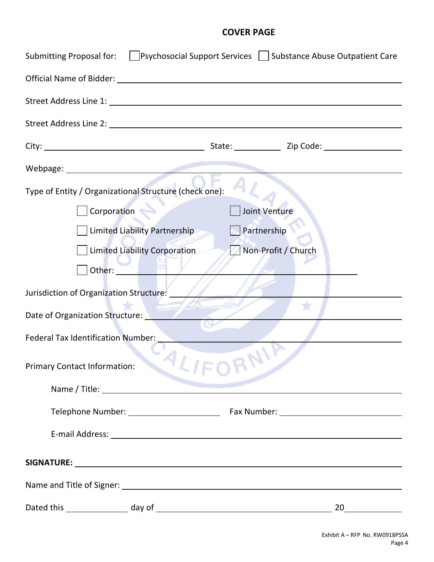#### **COVER PAGE**

<span id="page-33-0"></span>

| Submitting Proposal for:                                                                                                                                                                                                      | Psychosocial Support Services   Substance Abuse Outpatient Care |
|-------------------------------------------------------------------------------------------------------------------------------------------------------------------------------------------------------------------------------|-----------------------------------------------------------------|
| Official Name of Bidder: University of School and School and School and School and School and School and School and School and School and School and School and School and School and School and School and School and School |                                                                 |
|                                                                                                                                                                                                                               |                                                                 |
|                                                                                                                                                                                                                               |                                                                 |
|                                                                                                                                                                                                                               |                                                                 |
| Webpage: New York Products and Contract of the Contract of the Contract of the Contract of the Contract of the                                                                                                                |                                                                 |
| Type of Entity / Organizational Structure (check one):                                                                                                                                                                        |                                                                 |
| Corporation                                                                                                                                                                                                                   | Joint Venture                                                   |
| Limited Liability Partnership                                                                                                                                                                                                 | Partnership                                                     |
| <b>Limited Liability Corporation</b>                                                                                                                                                                                          | Non-Profit / Church                                             |
| Other:                                                                                                                                                                                                                        |                                                                 |
| Jurisdiction of Organization Structure:                                                                                                                                                                                       |                                                                 |
| Date of Organization Structure:                                                                                                                                                                                               |                                                                 |
| <b>Federal Tax Identification Number:</b>                                                                                                                                                                                     |                                                                 |
| <b>Primary Contact Information:</b>                                                                                                                                                                                           |                                                                 |
|                                                                                                                                                                                                                               |                                                                 |
|                                                                                                                                                                                                                               |                                                                 |
|                                                                                                                                                                                                                               |                                                                 |
|                                                                                                                                                                                                                               |                                                                 |
|                                                                                                                                                                                                                               |                                                                 |
|                                                                                                                                                                                                                               | 20                                                              |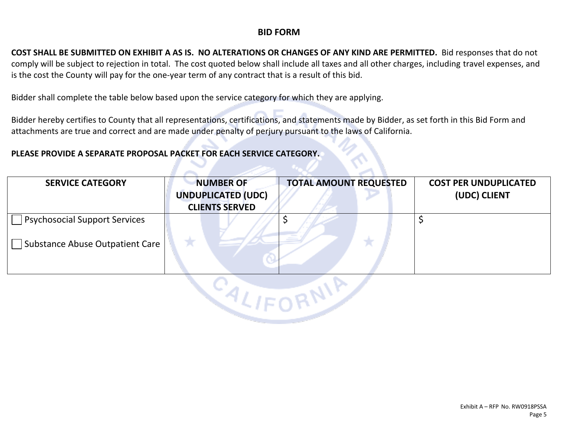#### **BID FORM**

**COST SHALL BE SUBMITTED ON EXHIBIT A AS IS. NO ALTERATIONS OR CHANGES OF ANY KIND ARE PERMITTED.** Bid responses that do not comply will be subject to rejection in total. The cost quoted below shall include all taxes and all other charges, including travel expenses, and is the cost the County will pay for the one-year term of any contract that is a result of this bid.

Bidder shall complete the table below based upon the service category for which they are applying.

Bidder hereby certifies to County that all representations, certifications, and statements made by Bidder, as set forth in this Bid Form and attachments are true and correct and are made under penalty of perjury pursuant to the laws of California.

#### **PLEASE PROVIDE A SEPARATE PROPOSAL PACKET FOR EACH SERVICE CATEGORY.**

| <b>SERVICE CATEGORY</b>              | <b>NUMBER OF</b><br><b>UNDUPLICATED (UDC)</b><br><b>CLIENTS SERVED</b> | <b>TOTAL AMOUNT REQUESTED</b> | <b>COST PER UNDUPLICATED</b><br>(UDC) CLIENT |
|--------------------------------------|------------------------------------------------------------------------|-------------------------------|----------------------------------------------|
| <b>Psychosocial Support Services</b> |                                                                        |                               |                                              |
| Substance Abuse Outpatient Care      |                                                                        |                               |                                              |

**CALIFORNIE**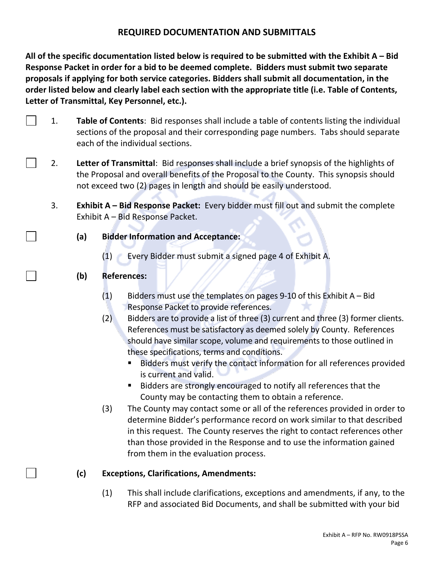#### **REQUIRED DOCUMENTATION AND SUBMITTALS**

**All of the specific documentation listed below is required to be submitted with the Exhibit A – Bid Response Packet in order for a bid to be deemed complete. Bidders must submit two separate proposals if applying for both service categories. Bidders shall submit all documentation, in the order listed below and clearly label each section with the appropriate title (i.e. Table of Contents, Letter of Transmittal, Key Personnel, etc.).**

- 1. **Table of Contents**: Bid responses shall include a table of contents listing the individual sections of the proposal and their corresponding page numbers. Tabs should separate each of the individual sections.
- 2. **Letter of Transmittal**: Bid responses shall include a brief synopsis of the highlights of the Proposal and overall benefits of the Proposal to the County. This synopsis should not exceed two (2) pages in length and should be easily understood.
	- 3. **Exhibit A – Bid Response Packet:** Every bidder must fill out and submit the complete Exhibit A – Bid Response Packet.
		- **(a) Bidder Information and Acceptance:**
			- (1) Every Bidder must submit a signed page 4 of Exhibit A.
		- **(b) References:**
			- $(1)$  Bidders must use the templates on pages 9-10 of this Exhibit A Bid Response Packet to provide references.
			- (2) Bidders are to provide a list of three (3) current and three (3) former clients. References must be satisfactory as deemed solely by County. References should have similar scope, volume and requirements to those outlined in these specifications, terms and conditions.
				- Bidders must verify the contact information for all references provided is current and valid.
				- Bidders are strongly encouraged to notify all references that the County may be contacting them to obtain a reference.
			- (3) The County may contact some or all of the references provided in order to determine Bidder's performance record on work similar to that described in this request. The County reserves the right to contact references other than those provided in the Response and to use the information gained from them in the evaluation process.

#### **(c) Exceptions, Clarifications, Amendments:**

(1) This shall include clarifications, exceptions and amendments, if any, to the RFP and associated Bid Documents, and shall be submitted with your bid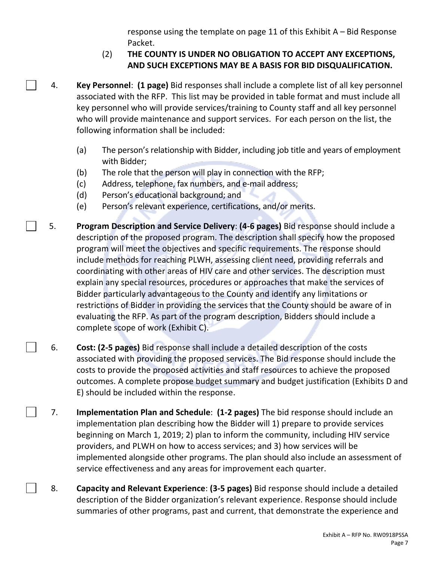response using the template on page 11 of this Exhibit A – Bid Response Packet.

# (2) **THE COUNTY IS UNDER NO OBLIGATION TO ACCEPT ANY EXCEPTIONS, AND SUCH EXCEPTIONS MAY BE A BASIS FOR BID DISQUALIFICATION.**

- 4. **Key Personnel**: **(1 page)** Bid responses shall include a complete list of all key personnel associated with the RFP. This list may be provided in table format and must include all key personnel who will provide services/training to County staff and all key personnel who will provide maintenance and support services. For each person on the list, the following information shall be included:
	- (a) The person's relationship with Bidder, including job title and years of employment with Bidder;
	- (b) The role that the person will play in connection with the RFP;
	- (c) Address, telephone, fax numbers, and e-mail address;
	- (d) Person's educational background; and
	- (e) Person's relevant experience, certifications, and/or merits.
- 5. **Program Description and Service Delivery**: **(4-6 pages)** Bid response should include a description of the proposed program. The description shall specify how the proposed program will meet the objectives and specific requirements. The response should include methods for reaching PLWH, assessing client need, providing referrals and coordinating with other areas of HIV care and other services. The description must explain any special resources, procedures or approaches that make the services of Bidder particularly advantageous to the County and identify any limitations or restrictions of Bidder in providing the services that the County should be aware of in evaluating the RFP. As part of the program description, Bidders should include a complete scope of work (Exhibit C).
	- 6. **Cost: (2-5 pages)** Bid response shall include a detailed description of the costs associated with providing the proposed services. The Bid response should include the costs to provide the proposed activities and staff resources to achieve the proposed outcomes. A complete propose budget summary and budget justification (Exhibits D and E) should be included within the response.
		- 7. **Implementation Plan and Schedule**: **(1-2 pages)** The bid response should include an implementation plan describing how the Bidder will 1) prepare to provide services beginning on March 1, 2019; 2) plan to inform the community, including HIV service providers, and PLWH on how to access services; and 3) how services will be implemented alongside other programs. The plan should also include an assessment of service effectiveness and any areas for improvement each quarter.
- 8. **Capacity and Relevant Experience**: **(3-5 pages)** Bid response should include a detailed description of the Bidder organization's relevant experience. Response should include summaries of other programs, past and current, that demonstrate the experience and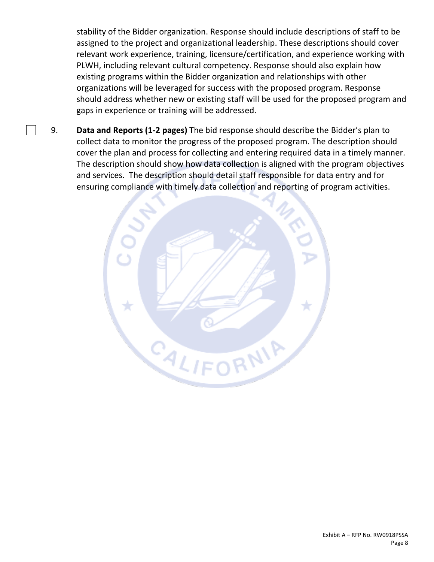stability of the Bidder organization. Response should include descriptions of staff to be assigned to the project and organizational leadership. These descriptions should cover relevant work experience, training, licensure/certification, and experience working with PLWH, including relevant cultural competency. Response should also explain how existing programs within the Bidder organization and relationships with other organizations will be leveraged for success with the proposed program. Response should address whether new or existing staff will be used for the proposed program and gaps in experience or training will be addressed.

9. **Data and Reports (1-2 pages)** The bid response should describe the Bidder's plan to collect data to monitor the progress of the proposed program. The description should cover the plan and process for collecting and entering required data in a timely manner. The description should show how data collection is aligned with the program objectives and services. The description should detail staff responsible for data entry and for ensuring compliance with timely data collection and reporting of program activities.

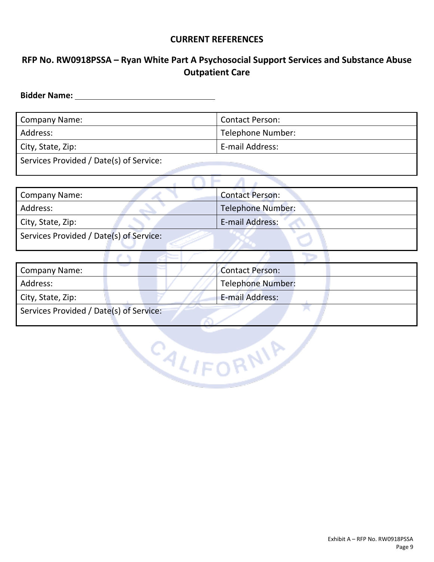#### **CURRENT REFERENCES**

# **RFP No. RW0918PSSA – Ryan White Part A Psychosocial Support Services and Substance Abuse Outpatient Care**

**Bidder Name:**

| Company Name:                           | <b>Contact Person:</b> |
|-----------------------------------------|------------------------|
| Address:                                | Telephone Number:      |
| City, State, Zip:                       | E-mail Address:        |
| Services Provided / Date(s) of Service: |                        |

| <b>Company Name:</b>                    | <b>Contact Person:</b>   |
|-----------------------------------------|--------------------------|
| Address:                                | <b>Telephone Number:</b> |
| City, State, Zip:                       | E-mail Address:          |
| Services Provided / Date(s) of Service: |                          |
|                                         |                          |
| <b>Company Name:</b>                    | <b>Contact Person:</b>   |
| Address:                                | <b>Telephone Number:</b> |
| City, State, Zip:                       | <b>E-mail Address:</b>   |

CALIFORNIA

Services Provided / Date(s) of Service: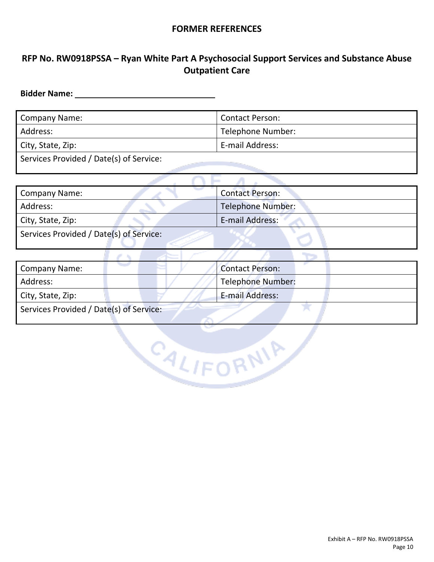#### **FORMER REFERENCES**

# **RFP No. RW0918PSSA – Ryan White Part A Psychosocial Support Services and Substance Abuse Outpatient Care**

**Bidder Name:** 

| <b>Company Name:</b>                    | <b>Contact Person:</b> |
|-----------------------------------------|------------------------|
| Address:                                | Telephone Number:      |
| City, State, Zip:                       | E-mail Address:        |
| Services Provided / Date(s) of Service: |                        |

سيمتس

 $\wedge$   $\sqsubset$   $\wedge$ 

| <b>Company Name:</b>                    | <b>Contact Person:</b>   |  |  |
|-----------------------------------------|--------------------------|--|--|
| Address:                                | <b>Telephone Number:</b> |  |  |
| City, State, Zip:                       | E-mail Address:          |  |  |
| Services Provided / Date(s) of Service: |                          |  |  |
|                                         |                          |  |  |
| <b>Company Name:</b>                    | <b>Contact Person:</b>   |  |  |

| Company Name:                           | Contact Person:          |  |  |  |  |
|-----------------------------------------|--------------------------|--|--|--|--|
| Address:                                | <b>Telephone Number:</b> |  |  |  |  |
| City, State, Zip:                       | <b>E-mail Address:</b>   |  |  |  |  |
| Services Provided / Date(s) of Service: |                          |  |  |  |  |

CALIFORNIA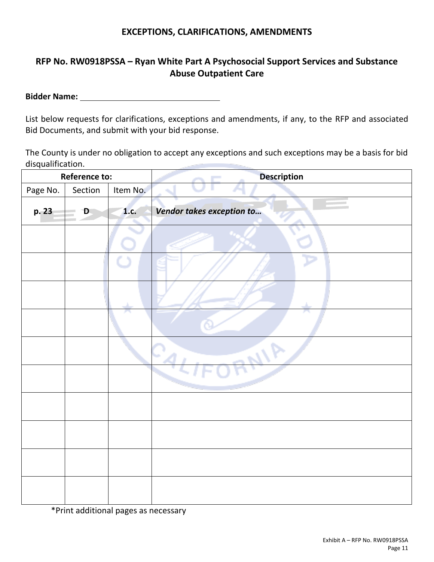#### **EXCEPTIONS, CLARIFICATIONS, AMENDMENTS**

# **RFP No. RW0918PSSA – Ryan White Part A Psychosocial Support Services and Substance Abuse Outpatient Care**

**Bidder Name:** 

List below requests for clarifications, exceptions and amendments, if any, to the RFP and associated Bid Documents, and submit with your bid response.

The County is under no obligation to accept any exceptions and such exceptions may be a basis for bid disqualification.

|          | <b>Reference to:</b> |          | <b>Description</b>        |
|----------|----------------------|----------|---------------------------|
| Page No. | Section              | Item No. |                           |
| p. 23    | D,                   | 1.c.     | Vendor takes exception to |
|          |                      |          |                           |
|          |                      |          |                           |
|          |                      |          |                           |
|          |                      | ha k     | JА.                       |
|          |                      |          | 41P<br>$-a$               |
|          |                      |          |                           |
|          |                      |          |                           |
|          |                      |          |                           |
|          |                      |          |                           |
|          |                      |          |                           |

\*Print additional pages as necessary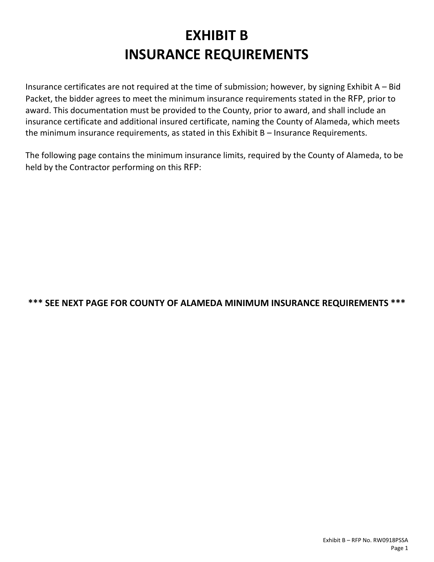# **EXHIBIT B INSURANCE REQUIREMENTS**

<span id="page-41-1"></span><span id="page-41-0"></span>Insurance certificates are not required at the time of submission; however, by signing Exhibit A – Bid Packet, the bidder agrees to meet the minimum insurance requirements stated in the RFP, prior to award. This documentation must be provided to the County, prior to award, and shall include an insurance certificate and additional insured certificate, naming the County of Alameda, which meets the minimum insurance requirements, as stated in this Exhibit B – Insurance Requirements.

The following page contains the minimum insurance limits, required by the County of Alameda, to be held by the Contractor performing on this RFP:

# **\*\*\* SEE NEXT PAGE FOR COUNTY OF ALAMEDA MINIMUM INSURANCE REQUIREMENTS \*\*\***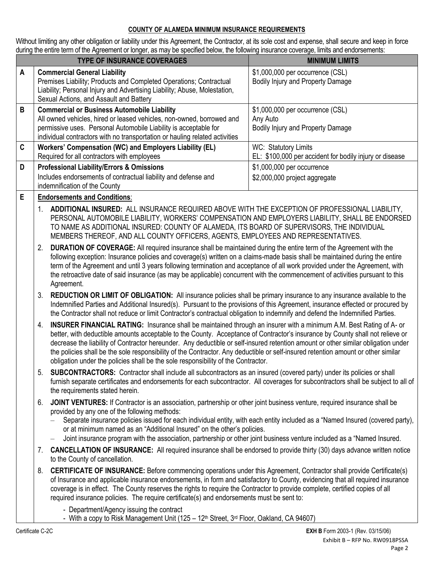#### **COUNTY OF ALAMEDA MINIMUM INSURANCE REQUIREMENTS**

Without limiting any other obligation or liability under this Agreement, the Contractor, at its sole cost and expense, shall secure and keep in force during the entire term of the Agreement or longer, as may be specified below, the following insurance coverage, limits and endorsements:

|   | <b>TYPE OF INSURANCE COVERAGES</b>                                                                                                                                                                                                                                             | <b>MINIMUM LIMITS</b>                                                             |
|---|--------------------------------------------------------------------------------------------------------------------------------------------------------------------------------------------------------------------------------------------------------------------------------|-----------------------------------------------------------------------------------|
| A | <b>Commercial General Liability</b><br>Premises Liability; Products and Completed Operations; Contractual<br>Liability; Personal Injury and Advertising Liability; Abuse, Molestation,<br>Sexual Actions, and Assault and Battery                                              | \$1,000,000 per occurrence (CSL)<br>Bodily Injury and Property Damage             |
| B | <b>Commercial or Business Automobile Liability</b><br>All owned vehicles, hired or leased vehicles, non-owned, borrowed and<br>permissive uses. Personal Automobile Liability is acceptable for<br>individual contractors with no transportation or hauling related activities | \$1,000,000 per occurrence (CSL)<br>Any Auto<br>Bodily Injury and Property Damage |
| C | Workers' Compensation (WC) and Employers Liability (EL)<br>Required for all contractors with employees                                                                                                                                                                         | WC: Statutory Limits<br>EL: \$100,000 per accident for bodily injury or disease   |
| D | <b>Professional Liability/Errors &amp; Omissions</b><br>Includes endorsements of contractual liability and defense and<br>indemnification of the County                                                                                                                        | \$1,000,000 per occurrence<br>\$2,000,000 project aggregate                       |
| E | <b>Endorsements and Conditions:</b>                                                                                                                                                                                                                                            |                                                                                   |

- 1. **ADDITIONAL INSURED:** ALL INSURANCE REQUIRED ABOVE WITH THE EXCEPTION OF PROFESSIONAL LIABILITY, PERSONAL AUTOMOBILE LIABILITY, WORKERS' COMPENSATION AND EMPLOYERS LIABILITY, SHALL BE ENDORSED TO NAME AS ADDITIONAL INSURED: COUNTY OF ALAMEDA, ITS BOARD OF SUPERVISORS, THE INDIVIDUAL MEMBERS THEREOF, AND ALL COUNTY OFFICERS, AGENTS, EMPLOYEES AND REPRESENTATIVES.
- 2. **DURATION OF COVERAGE:** All required insurance shall be maintained during the entire term of the Agreement with the following exception: Insurance policies and coverage(s) written on a claims-made basis shall be maintained during the entire term of the Agreement and until 3 years following termination and acceptance of all work provided under the Agreement, with the retroactive date of said insurance (as may be applicable) concurrent with the commencement of activities pursuant to this Agreement.
- 3. **REDUCTION OR LIMIT OF OBLIGATION:** All insurance policies shall be primary insurance to any insurance available to the Indemnified Parties and Additional Insured(s). Pursuant to the provisions of this Agreement, insurance effected or procured by the Contractor shall not reduce or limit Contractor's contractual obligation to indemnify and defend the Indemnified Parties.
- 4. **INSURER FINANCIAL RATING:** Insurance shall be maintained through an insurer with a minimum A.M. Best Rating of A- or better, with deductible amounts acceptable to the County. Acceptance of Contractor's insurance by County shall not relieve or decrease the liability of Contractor hereunder. Any deductible or self-insured retention amount or other similar obligation under the policies shall be the sole responsibility of the Contractor. Any deductible or self-insured retention amount or other similar obligation under the policies shall be the sole responsibility of the Contractor.
- 5. **SUBCONTRACTORS:** Contractor shall include all subcontractors as an insured (covered party) under its policies or shall furnish separate certificates and endorsements for each subcontractor. All coverages for subcontractors shall be subject to all of the requirements stated herein.
- 6. **JOINT VENTURES:** If Contractor is an association, partnership or other joint business venture, required insurance shall be provided by any one of the following methods:
	- Separate insurance policies issued for each individual entity, with each entity included as a "Named Insured (covered party), or at minimum named as an "Additional Insured" on the other's policies.
	- Joint insurance program with the association, partnership or other joint business venture included as a "Named Insured.
- 7. **CANCELLATION OF INSURANCE:** All required insurance shall be endorsed to provide thirty (30) days advance written notice to the County of cancellation.
- 8. **CERTIFICATE OF INSURANCE:** Before commencing operations under this Agreement, Contractor shall provide Certificate(s) of Insurance and applicable insurance endorsements, in form and satisfactory to County, evidencing that all required insurance coverage is in effect. The County reserves the rights to require the Contractor to provide complete, certified copies of all required insurance policies. The require certificate(s) and endorsements must be sent to:
	- Department/Agency issuing the contract
	- With a copy to Risk Management Unit (125 12<sup>th</sup> Street,  $3<sup>rd</sup>$  Floor, Oakland, CA 94607)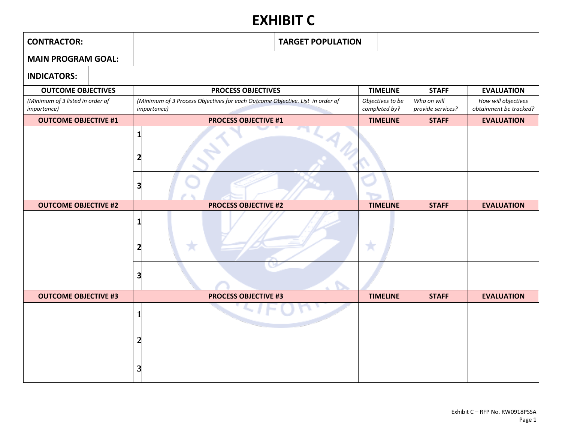# **EXHIBIT C**

| <b>CONTRACTOR:</b>                                      | <b>TARGET POPULATION</b>                                                                             |  |                                   |                                  |                                               |
|---------------------------------------------------------|------------------------------------------------------------------------------------------------------|--|-----------------------------------|----------------------------------|-----------------------------------------------|
| <b>MAIN PROGRAM GOAL:</b>                               |                                                                                                      |  |                                   |                                  |                                               |
| <b>INDICATORS:</b>                                      |                                                                                                      |  |                                   |                                  |                                               |
| <b>OUTCOME OBJECTIVES</b>                               | <b>PROCESS OBJECTIVES</b>                                                                            |  | <b>TIMELINE</b>                   | <b>STAFF</b>                     | <b>EVALUATION</b>                             |
| (Minimum of 3 listed in order of<br><i>importance</i> ) | (Minimum of 3 Process Objectives for each Outcome Objective. List in order of<br><i>importance</i> ) |  | Objectives to be<br>completed by? | Who on will<br>provide services? | How will objectives<br>obtainment be tracked? |
| <b>OUTCOME OBJECTIVE #1</b>                             | <b>PROCESS OBJECTIVE #1</b>                                                                          |  | <b>TIMELINE</b>                   | <b>STAFF</b>                     | <b>EVALUATION</b>                             |
| <b>OUTCOME OBJECTIVE #2</b>                             | 3<br><b>PROCESS OBJECTIVE #2</b>                                                                     |  | <b>TIMELINE</b>                   | <b>STAFF</b>                     | <b>EVALUATION</b>                             |
|                                                         | 1                                                                                                    |  |                                   |                                  |                                               |
|                                                         |                                                                                                      |  |                                   |                                  |                                               |
| <b>OUTCOME OBJECTIVE #3</b>                             | <b>PROCESS OBJECTIVE #3</b>                                                                          |  | <b>TIMELINE</b>                   | <b>STAFF</b>                     | <b>EVALUATION</b>                             |
|                                                         |                                                                                                      |  |                                   |                                  |                                               |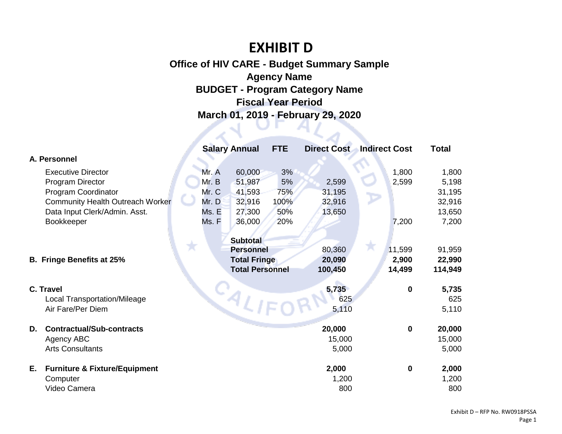# **EXHIBIT D**

# **Office of HIV CARE - Budget Summary Sample Agency Name BUDGET - Program Category Name Fiscal Year Period March 01, 2019 - February 29, 2020**

|                                                | <b>Salary Annual</b>                | <b>FTE</b> | <b>Direct Cost</b> | <b>Indirect Cost</b> | <b>Total</b> |
|------------------------------------------------|-------------------------------------|------------|--------------------|----------------------|--------------|
| A. Personnel                                   |                                     |            |                    |                      |              |
| <b>Executive Director</b>                      | 60,000<br>Mr. A                     | 3%         |                    | 1,800                | 1,800        |
| <b>Program Director</b>                        | Mr. B<br>51,987                     | 5%         | 2,599              | 2,599                | 5,198        |
| Program Coordinator                            | Mr. C<br>41,593                     | 75%        | 31,195             |                      | 31,195       |
| <b>Community Health Outreach Worker</b>        | Mr. D<br>32,916                     | 100%       | 32,916             |                      | 32,916       |
| Data Input Clerk/Admin. Asst.                  | Ms. E<br>27,300                     | 50%        | 13,650             |                      | 13,650       |
| Bookkeeper                                     | Ms. F<br>36,000                     | 20%        |                    | 7,200                | 7,200        |
|                                                |                                     |            |                    |                      |              |
| Тī                                             | <b>Subtotal</b><br><b>Personnel</b> |            | 80,360             | 11,599               | 91,959       |
| <b>B. Fringe Benefits at 25%</b>               | <b>Total Fringe</b>                 |            | 20,090             | 2,900                | 22,990       |
|                                                | <b>Total Personnel</b>              |            | 100,450            | 14,499               | 114,949      |
|                                                |                                     |            |                    |                      |              |
| <b>C. Travel</b>                               |                                     |            | 5,735              | $\mathbf 0$          | 5,735        |
| <b>Local Transportation/Mileage</b>            |                                     |            | 625                |                      | 625          |
| Air Fare/Per Diem                              | <b>EALIFO</b>                       |            | 5,110              |                      | 5,110        |
|                                                |                                     |            |                    |                      |              |
| <b>Contractual/Sub-contracts</b><br>D.         |                                     |            | 20,000             | $\bf{0}$             | 20,000       |
| Agency ABC                                     |                                     |            | 15,000             |                      | 15,000       |
| <b>Arts Consultants</b>                        |                                     |            | 5,000              |                      | 5,000        |
| Е.<br><b>Furniture &amp; Fixture/Equipment</b> |                                     |            | 2,000              | $\mathbf 0$          | 2,000        |
| Computer                                       |                                     |            | 1,200              |                      | 1,200        |
| Video Camera                                   |                                     |            | 800                |                      | 800          |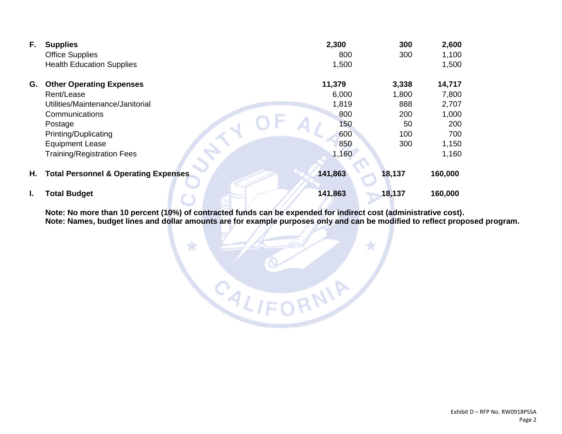| F. | <b>Supplies</b>                                 | 2,300   | 300    | 2,600   |
|----|-------------------------------------------------|---------|--------|---------|
|    | <b>Office Supplies</b>                          | 800     | 300    | 1,100   |
|    | <b>Health Education Supplies</b>                | 1,500   |        | 1,500   |
| G. | <b>Other Operating Expenses</b>                 | 11,379  | 3,338  | 14,717  |
|    | Rent/Lease                                      | 6,000   | 1,800  | 7,800   |
|    | Utilities/Maintenance/Janitorial                | 1,819   | 888    | 2,707   |
|    | Communications                                  | 800     | 200    | 1,000   |
|    | Postage                                         | 150     | 50     | 200     |
|    | Printing/Duplicating                            | 600     | 100    | 700     |
|    | <b>Equipment Lease</b>                          | 850     | 300    | 1,150   |
|    | <b>Training/Registration Fees</b>               | 1,160   |        | 1,160   |
| н. | <b>Total Personnel &amp; Operating Expenses</b> | 141,863 | 18,137 | 160,000 |
| L. | <b>Total Budget</b>                             | 141,863 | 18,137 | 160,000 |

÷

**Note: No more than 10 percent (10%) of contracted funds can be expended for indirect cost (administrative cost). Note: Names, budget lines and dollar amounts are for example purposes only and can be modified to reflect proposed program.**

CALIFORNIA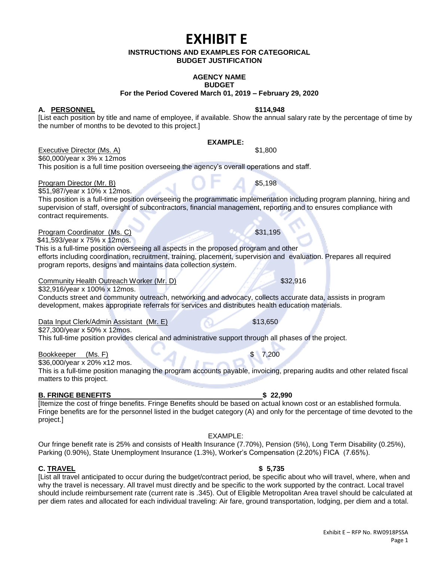# **EXHIBIT E**

#### **INSTRUCTIONS AND EXAMPLES FOR CATEGORICAL BUDGET JUSTIFICATION**

#### **AGENCY NAME BUDGET**

**For the Period Covered March 01, 2019 – February 29, 2020**

**A. PERSONNEL \$114,948**

[List each position by title and name of employee, if available. Show the annual salary rate by the percentage of time by the number of months to be devoted to this project.]

#### **EXAMPLE:**

Executive Director (Ms. A)  $$1,800$ 

\$60,000/year x 3% x 12mos This position is a full time position overseeing the agency's overall operations and staff.

Program Director (Mr. B) \$5,198

\$51,987/year x 10% x 12mos. This position is a full-time position overseeing the programmatic implementation including program planning, hiring and supervision of staff, oversight of subcontractors, financial management, reporting and to ensures compliance with contract requirements.

**Program Coordinator (Ms. C)**  $\sim$  \$31,195

\$41,593/year x 75% x 12mos.

 This is a full-time position overseeing all aspects in the proposed program and other efforts including coordination, recruitment, training, placement, supervision and evaluation. Prepares all required program reports, designs and maintains data collection system.

Community Health Outreach Worker (Mr. D) \$32,916

\$32,916/year x 100% x 12mos. Conducts street and community outreach, networking and advocacy, collects accurate data, assists in program development, makes appropriate referrals for services and distributes health education materials.

Data Input Clerk/Admin Assistant (Mr. E) \$13,650

\$27,300/year x 50% x 12mos.

This full-time position provides clerical and administrative support through all phases of the project.

Bookkeeper (Ms. F) \$ 7,200

\$36,000/year x 20% x12 mos. This is a full-time position managing the program accounts payable, invoicing, preparing audits and other related fiscal matters to this project.

#### **B. FRINGE BENEFITS \$ 22,990**

[Itemize the cost of fringe benefits. Fringe Benefits should be based on actual known cost or an established formula. Fringe benefits are for the personnel listed in the budget category (A) and only for the percentage of time devoted to the project.]

#### EXAMPLE:

Our fringe benefit rate is 25% and consists of Health Insurance (7.70%), Pension (5%), Long Term Disability (0.25%), Parking (0.90%), State Unemployment Insurance (1.3%), Worker's Compensation (2.20%) FICA (7.65%).

**C. TRAVEL \$ 5,735**

[List all travel anticipated to occur during the budget/contract period, be specific about who will travel, where, when and why the travel is necessary. All travel must directly and be specific to the work supported by the contract. Local travel should include reimbursement rate (current rate is .345). Out of Eligible Metropolitan Area travel should be calculated at per diem rates and allocated for each individual traveling: Air fare, ground transportation, lodging, per diem and a total.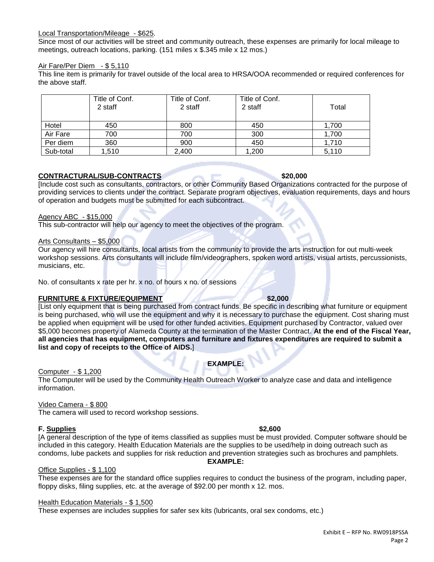#### Local Transportation/Mileage - \$625.

Since most of our activities will be street and community outreach, these expenses are primarily for local mileage to meetings, outreach locations, parking. (151 miles x \$.345 mile x 12 mos.)

#### Air Fare/Per Diem - \$ 5,110

This line item is primarily for travel outside of the local area to HRSA/OOA recommended or required conferences for the above staff.

|           | Title of Conf.<br>2 staff | Title of Conf.<br>2 staff | Title of Conf.<br>2 staff | Total |
|-----------|---------------------------|---------------------------|---------------------------|-------|
| Hotel     | 450                       | 800                       | 450                       | 1.700 |
| Air Fare  | 700                       | 700                       | 300                       | 1.700 |
| Per diem  | 360                       | 900                       | 450                       | 1,710 |
| Sub-total | 1,510                     | 2,400                     | 1,200                     | 5,110 |

#### **CONTRACTURAL/SUB-CONTRACTS \$20,000**

[Include cost such as consultants, contractors, or other Community Based Organizations contracted for the purpose of providing services to clients under the contract. Separate program objectives, evaluation requirements, days and hours of operation and budgets must be submitted for each subcontract.

#### Agency ABC - \$15,000

This sub-contractor will help our agency to meet the objectives of the program.

#### Arts Consultants – \$5,000

Our agency will hire consultants, local artists from the community to provide the arts instruction for out multi-week workshop sessions. Arts consultants will include film/videographers, spoken word artists, visual artists, percussionists, musicians, etc.

No. of consultants x rate per hr. x no. of hours x no. of sessions

#### **FURNITURE & FIXTURE/EQUIPMENT \$2,000**

[List only equipment that is being purchased from contract funds. Be specific in describing what furniture or equipment is being purchased, who will use the equipment and why it is necessary to purchase the equipment. Cost sharing must be applied when equipment will be used for other funded activities. Equipment purchased by Contractor, valued over \$5,000 becomes property of Alameda County at the termination of the Master Contract. **At the end of the Fiscal Year, all agencies that has equipment, computers and furniture and fixtures expenditures are required to submit a list and copy of receipts to the Office of AIDS.**]

# **EXAMPLE:**

Computer - \$ 1,200

The Computer will be used by the Community Health Outreach Worker to analyze case and data and intelligence information.

#### Video Camera - \$ 800

The camera will used to record workshop sessions.

#### **F. Supplies \$2,600**

[A general description of the type of items classified as supplies must be must provided. Computer software should be included in this category. Health Education Materials are the supplies to be used/help in doing outreach such as condoms, lube packets and supplies for risk reduction and prevention strategies such as brochures and pamphlets. **EXAMPLE:**

#### Office Supplies - \$ 1,100

These expenses are for the standard office supplies requires to conduct the business of the program, including paper, floppy disks, filing supplies, etc. at the average of \$92.00 per month x 12. mos.

#### Health Education Materials - \$ 1,500

These expenses are includes supplies for safer sex kits (lubricants, oral sex condoms, etc.)

#### Exhibit E – RFP No. RW0918PSSA Page 2